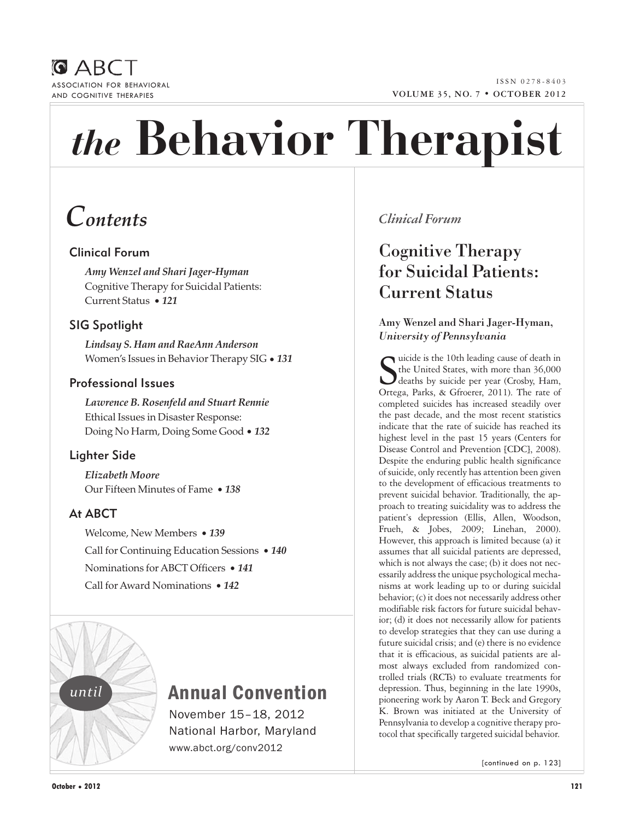



# *the* **Behavior Therapist**

# *Contents*

## Clinical Forum

*Amy Wenzel and Shari Jager-Hyman*  Cognitive Therapy for Suicidal Patients: Current Status • *121*

## SIG Spotlight

*Lindsay S. Ham and RaeAnn Anderson*  Women's Issues in Behavior Therapy SIG • *131*

## Professional Issues

*Lawrence B. Rosenfeld and Stuart Rennie*  Ethical Issues in Disaster Response: Doing No Harm, Doing Some Good • *132*

## Lighter Side

*Elizabeth Moore* Our Fifteen Minutes of Fame • *138*

## At ABCT

Welcome, New Members • *139* Call for Continuing Education Sessions • *140* Nominations for ABCT Officers • *141* Call for Award Nominations • *142*



# Annual Convention

November 15–18, 2012 National Harbor, Maryland www.abct.org/conv2012

## *Clinical Forum*

# Cognitive Therapy for Suicidal Patients: Current Status

## Amy Wenzel and Shari Jager-Hyman, *University of Pennsylvania*

Suicide is the 10th leading cause of death in<br>the United States, with more than 36,000<br>deaths by suicide per year (Crosby, Ham,<br>Ortega, Parks, & Gfroerer, 2011). The rate of the United States, with more than 36,000 deaths by suicide per year (Crosby, Ham, Ortega, Parks, & Gfroerer, 2011). The rate of completed suicides has increased steadily over the past decade, and the most recent statistics indicate that the rate of suicide has reached its highest level in the past 15 years (Centers for Disease Control and Prevention [CDC], 2008). Despite the enduring public health significance of suicide, only recently has attention been given to the development of efficacious treatments to prevent suicidal behavior. Traditionally, the approach to treating suicidality was to address the patient's depression (Ellis, Allen, Woodson, Frueh, & Jobes, 2009; Linehan, 2000). However, this approach is limited because (a) it assumes that all suicidal patients are depressed, which is not always the case; (b) it does not necessarily address the unique psychological mechanisms at work leading up to or during suicidal behavior; (c) it does not necessarily address other modifiable risk factors for future suicidal behavior; (d) it does not necessarily allow for patients to develop strategies that they can use during a future suicidal crisis; and (e) there is no evidence that it is efficacious, as suicidal patients are almost always excluded from randomized controlled trials (RCTs) to evaluate treatments for depression. Thus, beginning in the late 1990s, pioneering work by Aaron T. Beck and Gregory K. Brown was initiated at the University of Pennsylvania to develop a cognitive therapy protocol that specifically targeted suicidal behavior.

[continued on p. 123]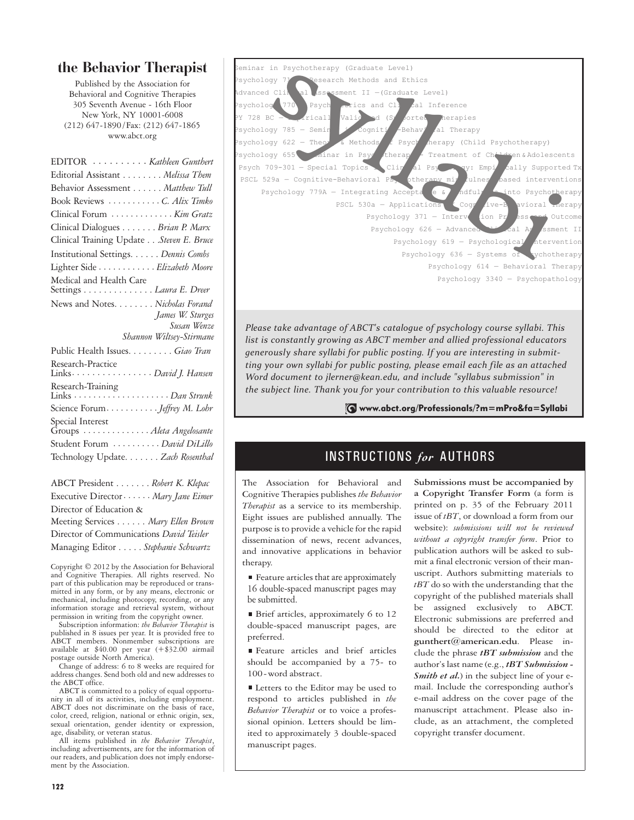## **the Behavior Therapist**

Published by the Association for Behavioral and Cognitive Therapies 305 Seventh Avenue - 16th Floor New York, NY 10001-6008 (212) 647-1890/Fax: (212) 647-1865 www.abct.org

| EDITOR <i>Kathleen Gunthert</i>                           |
|-----------------------------------------------------------|
| Editorial Assistant Melissa Them                          |
| Behavior Assessment Matthew Tull                          |
| Book Reviews C. Alix Timko                                |
| Clinical Forum  Kim Gratz                                 |
| Clinical Dialogues Brian P. Marx                          |
| Clinical Training Update Steven E. Bruce                  |
| Institutional Settings. Dennis Combs                      |
| Lighter Side Elizabeth Moore                              |
| Medical and Health Care<br>Settings <i>Laura E. Dreer</i> |
| News and Notes. Nicholas Forand                           |
| James W. Sturges                                          |
| Susan Wenze                                               |
| Shannon Wiltsey-Stirmane                                  |
| Public Health Issues Giao Tran                            |
| Research-Practice<br>Links. David J. Hansen               |
| Research-Training                                         |
|                                                           |
| Special Interest<br>Groups  Aleta Angelosante             |
| Student Forum  David DiLillo                              |
| Technology Update. Zach Rosenthal                         |

ABCT President . . . . . . . *Robert K. Klepac* Executive Director· · · · · · *Mary Jane Eimer* Director of Education & Meeting Services . . . . . . *Mary Ellen Brown* Director of Communications *David Teisler* Managing Editor . . . . . *Stephanie Schwartz*

Copyright © 2012 by the Association for Behavioral and Cognitive Therapies. All rights reserved. No part of this publication may be reproduced or transmitted in any form, or by any means, electronic or mechanical, including photocopy, recording, or any information storage and retrieval system, without permission in writing from the copyright owner.

Subscription information: *the Behavior Therapist* is published in 8 issues per year. It is provided free to ABCT members. Nonmember subscriptions are available at \$40.00 per year (+\$32.00 airmail postage outside North America).

Change of address: 6 to 8 weeks are required for address changes. Send both old and new addresses to the ABCT office.

ABCT is committed to a policy of equal opportunity in all of its activities, including employment. ABCT does not discriminate on the basis of race, color, creed, religion, national or ethnic origin, sex, sexual orientation, gender identity or expression, age, disability, or veteran status.

All items published in *the Behavior Therapist*, including advertisements, are for the information of our readers, and publication does not imply endorsement by the Association.



*Please take advantage of ABCT's catalogue of psychology course syllabi. This list is constantly growing as ABCT member and allied professional educators generously share syllabi for public posting. If you are interesting in submitting your own syllabi for public posting, please email each file as an attached Word document to jlerner@kean.edu, and include "syllabus submission" in the subject line. Thank you for your contribution to this valuable resource!*

www.abct.org/Professionals/?m=mPro&fa=Syllabi

## INSTRUCTIONS *for* AUTHORS

The Association for Behavioral and Cognitive Therapies publishes *the Behavior Therapist* as a service to its membership. Eight issues are published annually. The purpose is to provide a vehicle for the rapid dissemination of news, recent advances, and innovative applications in behavior therapy.

■ Feature articles that are approximately 16 double-spaced manuscript pages may be submitted.

Brief articles, approximately 6 to 12 double-spaced manuscript pages, are preferred.

Feature articles and brief articles should be accompanied by a 75- to 100-word abstract.

■ Letters to the Editor may be used to respond to articles published in *the Behavior Therapist* or to voice a professional opinion. Letters should be limited to approximately 3 double-spaced manuscript pages.

**Submissions must be accompanied by a Copyright Transfer Form** (a form is printed on p. 35 of the February 2011 issue of *tBT*, or download a form from our website): *submissions will not be reviewed without a copyright transfer form*. Prior to publication authors will be asked to submit a final electronic version of their manuscript. Authors submitting materials to *tBT* do so with the understanding that the copyright of the published materials shall be assigned exclusively to ABCT. Electronic submissions are preferred and should be directed to the editor at **gunthert@american.edu**. Please include the phrase *tBT submission* and the author's last name (e.g., *tBT Submission - Smith et al.*) in the subject line of your email. Include the corresponding author's e-mail address on the cover page of the manuscript attachment. Please also include, as an attachment, the completed copyright transfer document.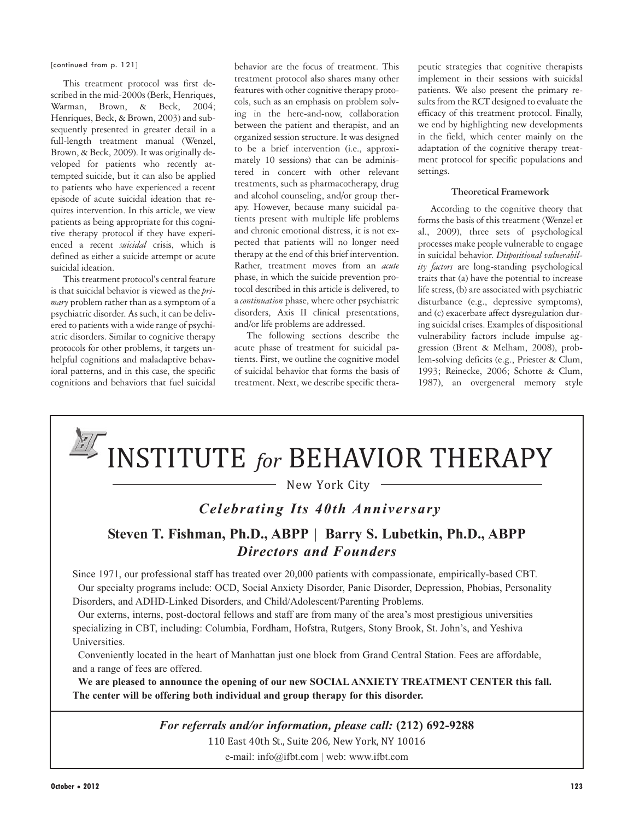[continued from p. 121]

This treatment protocol was first described in the mid-2000s (Berk, Henriques, Warman, Brown, & Beck, 2004; Henriques, Beck, & Brown, 2003) and subsequently presented in greater detail in a full-length treatment manual (Wenzel, Brown, & Beck, 2009). It was originally developed for patients who recently attempted suicide, but it can also be applied to patients who have experienced a recent episode of acute suicidal ideation that requires intervention. In this article, we view patients as being appropriate for this cognitive therapy protocol if they have experienced a recent *suicidal* crisis, which is defined as either a suicide attempt or acute suicidal ideation.

This treatment protocol's central feature is that suicidal behavior is viewed as the *primary* problem rather than as a symptom of a psychiatric disorder. As such, it can be delivered to patients with a wide range of psychiatric disorders. Similar to cognitive therapy protocols for other problems, it targets unhelpful cognitions and maladaptive behavioral patterns, and in this case, the specific cognitions and behaviors that fuel suicidal behavior are the focus of treatment. This treatment protocol also shares many other features with other cognitive therapy protocols, such as an emphasis on problem solving in the here-and-now, collaboration between the patient and therapist, and an organized session structure. It was designed to be a brief intervention (i.e., approximately 10 sessions) that can be administered in concert with other relevant treatments, such as pharmacotherapy, drug and alcohol counseling, and/or group therapy. However, because many suicidal patients present with multiple life problems and chronic emotional distress, it is not expected that patients will no longer need therapy at the end of this brief intervention. Rather, treatment moves from an *acute* phase, in which the suicide prevention protocol described in this article is delivered, to a *continuation* phase, where other psychiatric disorders, Axis II clinical presentations, and/or life problems are addressed.

The following sections describe the acute phase of treatment for suicidal patients. First, we outline the cognitive model of suicidal behavior that forms the basis of treatment. Next, we describe specific thera-

peutic strategies that cognitive therapists implement in their sessions with suicidal patients. We also present the primary results from the RCT designed to evaluate the efficacy of this treatment protocol. Finally, we end by highlighting new developments in the field, which center mainly on the adaptation of the cognitive therapy treatment protocol for specific populations and settings.

#### **Theoretical Framework**

According to the cognitive theory that forms the basis of this treatment (Wenzel et al., 2009), three sets of psychological processes make people vulnerable to engage in suicidal behavior. *Dispositional vulnerability factors* are long-standing psychological traits that (a) have the potential to increase life stress, (b) are associated with psychiatric disturbance (e.g., depressive symptoms), and (c) exacerbate affect dysregulation during suicidal crises. Examples of dispositional vulnerability factors include impulse aggression (Brent & Melham, 2008), problem-solving deficits (e.g., Priester & Clum, 1993; Reinecke, 2006; Schotte & Clum, 1987), an overgeneral memory style

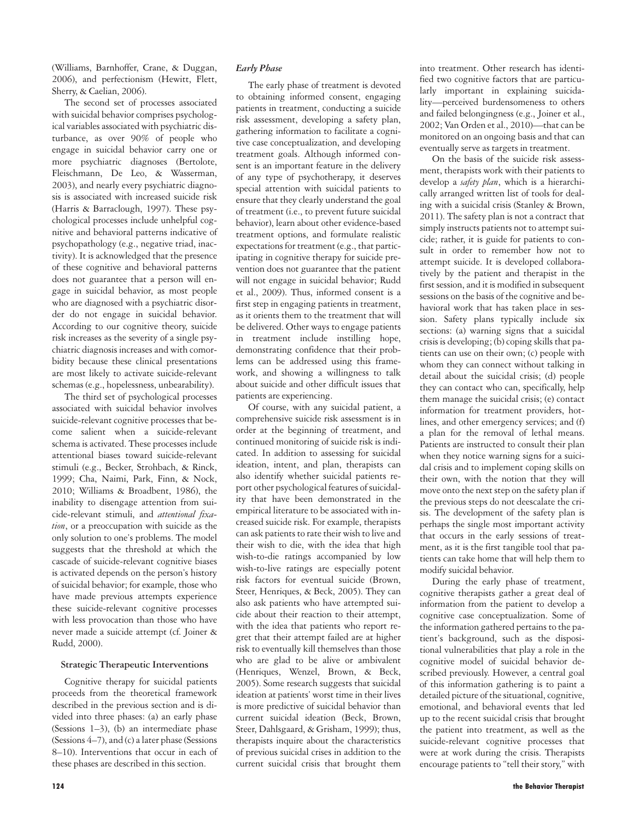(Williams, Barnhoffer, Crane, & Duggan, 2006), and perfectionism (Hewitt, Flett, Sherry, & Caelian, 2006).

The second set of processes associated with suicidal behavior comprises psychological variables associated with psychiatric disturbance, as over 90% of people who engage in suicidal behavior carry one or more psychiatric diagnoses (Bertolote, Fleischmann, De Leo, & Wasserman, 2003), and nearly every psychiatric diagnosis is associated with increased suicide risk (Harris & Barraclough, 1997). These psychological processes include unhelpful cognitive and behavioral patterns indicative of psychopathology (e.g., negative triad, inactivity). It is acknowledged that the presence of these cognitive and behavioral patterns does not guarantee that a person will engage in suicidal behavior, as most people who are diagnosed with a psychiatric disorder do not engage in suicidal behavior. According to our cognitive theory, suicide risk increases as the severity of a single psychiatric diagnosis increases and with comorbidity because these clinical presentations are most likely to activate suicide-relevant schemas (e.g., hopelessness, unbearability).

The third set of psychological processes associated with suicidal behavior involves suicide-relevant cognitive processes that become salient when a suicide-relevant schema is activated. These processes include attentional biases toward suicide-relevant stimuli (e.g., Becker, Strohbach, & Rinck, 1999; Cha, Naimi, Park, Finn, & Nock, 2010; Williams & Broadbent, 1986), the inability to disengage attention from suicide-relevant stimuli, and *attentional fixation*, or a preoccupation with suicide as the only solution to one's problems. The model suggests that the threshold at which the cascade of suicide-relevant cognitive biases is activated depends on the person's history of suicidal behavior; for example, those who have made previous attempts experience these suicide-relevant cognitive processes with less provocation than those who have never made a suicide attempt (cf. Joiner & Rudd, 2000).

#### **Strategic Therapeutic Interventions**

Cognitive therapy for suicidal patients proceeds from the theoretical framework described in the previous section and is divided into three phases: (a) an early phase (Sessions 1–3), (b) an intermediate phase (Sessions 4–7), and (c) a later phase (Sessions 8–10). Interventions that occur in each of these phases are described in this section.

The early phase of treatment is devoted to obtaining informed consent, engaging patients in treatment, conducting a suicide risk assessment, developing a safety plan, gathering information to facilitate a cognitive case conceptualization, and developing treatment goals. Although informed consent is an important feature in the delivery of any type of psychotherapy, it deserves special attention with suicidal patients to ensure that they clearly understand the goal of treatment (i.e., to prevent future suicidal behavior), learn about other evidence-based treatment options, and formulate realistic expectations for treatment (e.g., that participating in cognitive therapy for suicide prevention does not guarantee that the patient will not engage in suicidal behavior; Rudd et al., 2009). Thus, informed consent is a first step in engaging patients in treatment, as it orients them to the treatment that will be delivered. Other ways to engage patients in treatment include instilling hope, demonstrating confidence that their problems can be addressed using this framework, and showing a willingness to talk about suicide and other difficult issues that patients are experiencing.

Of course, with any suicidal patient, a comprehensive suicide risk assessment is in order at the beginning of treatment, and continued monitoring of suicide risk is indicated. In addition to assessing for suicidal ideation, intent, and plan, therapists can also identify whether suicidal patients report other psychological features of suicidality that have been demonstrated in the empirical literature to be associated with increased suicide risk. For example, therapists can ask patients to rate their wish to live and their wish to die, with the idea that high wish-to-die ratings accompanied by low wish-to-live ratings are especially potent risk factors for eventual suicide (Brown, Steer, Henriques, & Beck, 2005). They can also ask patients who have attempted suicide about their reaction to their attempt, with the idea that patients who report regret that their attempt failed are at higher risk to eventually kill themselves than those who are glad to be alive or ambivalent (Henriques, Wenzel, Brown, & Beck, 2005). Some research suggests that suicidal ideation at patients' worst time in their lives is more predictive of suicidal behavior than current suicidal ideation (Beck, Brown, Steer, Dahlsgaard, & Grisham, 1999); thus, therapists inquire about the characteristics of previous suicidal crises in addition to the current suicidal crisis that brought them

into treatment. Other research has identified two cognitive factors that are particularly important in explaining suicidality—perceived burdensomeness to others and failed belongingness (e.g., Joiner et al., 2002; Van Orden et al., 2010)—that can be monitored on an ongoing basis and that can eventually serve as targets in treatment.

On the basis of the suicide risk assessment, therapists work with their patients to develop a *safety plan*, which is a hierarchically arranged written list of tools for dealing with a suicidal crisis (Stanley & Brown, 2011). The safety plan is not a contract that simply instructs patients not to attempt suicide; rather, it is guide for patients to consult in order to remember how not to attempt suicide. It is developed collaboratively by the patient and therapist in the first session, and it is modified in subsequent sessions on the basis of the cognitive and behavioral work that has taken place in session. Safety plans typically include six sections: (a) warning signs that a suicidal crisis is developing; (b) coping skills that patients can use on their own; (c) people with whom they can connect without talking in detail about the suicidal crisis; (d) people they can contact who can, specifically, help them manage the suicidal crisis; (e) contact information for treatment providers, hotlines, and other emergency services; and (f) a plan for the removal of lethal means. Patients are instructed to consult their plan when they notice warning signs for a suicidal crisis and to implement coping skills on their own, with the notion that they will move onto the next step on the safety plan if the previous steps do not deescalate the crisis. The development of the safety plan is perhaps the single most important activity that occurs in the early sessions of treatment, as it is the first tangible tool that patients can take home that will help them to modify suicidal behavior.

During the early phase of treatment, cognitive therapists gather a great deal of information from the patient to develop a cognitive case conceptualization. Some of the information gathered pertains to the patient's background, such as the dispositional vulnerabilities that play a role in the cognitive model of suicidal behavior described previously. However, a central goal of this information gathering is to paint a detailed picture of the situational, cognitive, emotional, and behavioral events that led up to the recent suicidal crisis that brought the patient into treatment, as well as the suicide-relevant cognitive processes that were at work during the crisis. Therapists encourage patients to "tell their story," with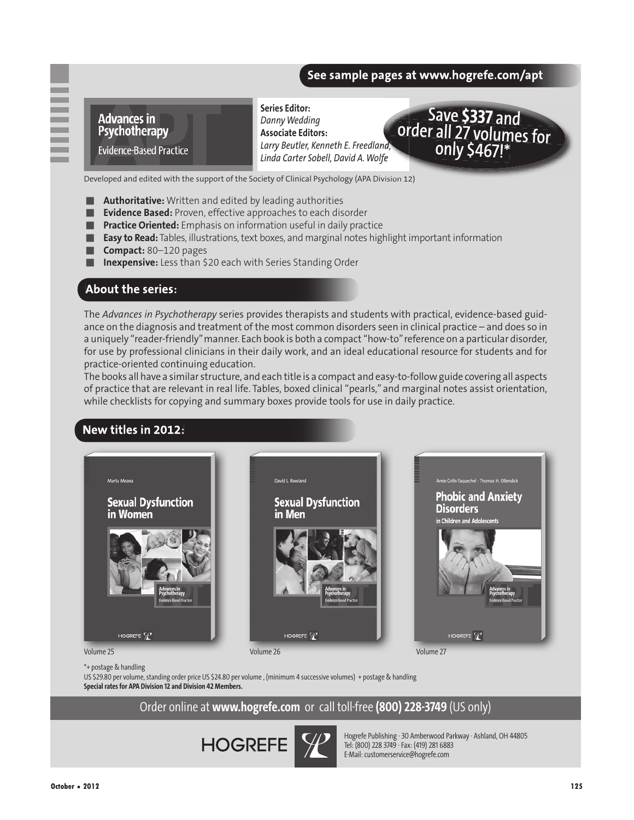### See sample pages at www.hogrefe.com/apt



**Series Editor:**  *Danny Wedding* **Associate Editors:** *Larry Beutler, Kenneth E. Freedland, Linda Carter Sobell, David A. Wolfe*



Developed and edited with the support of the Society of Clinical Psychology (APA Division 12)

- Authoritative: Written and edited by leading authorities
- **Evidence Based:** Proven, effective approaches to each disorder
- Practice Oriented: Emphasis on information useful in daily practice
- Easy to Read: Tables, illustrations, text boxes, and marginal notes highlight important information
- Compact: 80–120 pages
- **Inexpensive:** Less than \$20 each with Series Standing Order

### **About the series:**

-

The *Advances in Psychotherapy* series provides therapists and students with practical, evidence-based guidance on the diagnosis and treatment of the most common disorders seen in clinical practice – and does so in a uniquely "reader-friendly" manner. Each book is both a compact "how-to" reference on a particular disorder, for use by professional clinicians in their daily work, and an ideal educational resource for students and for practice-oriented continuing education.

The books all have a similar structure, and each title is a compact and easy-to-follow guide covering all aspects of practice that are relevant in real life. Tables, boxed clinical "pearls," and marginal notes assist orientation, while checklists for copying and summary boxes provide tools for use in daily practice.

## New titles in 2012:



\*+ postage & handling

US \$29.80 per volume, standing order price US \$24.80 per volume , (minimum 4 successive volumes) + postage & handling **Special rates for APA Division 12 and Division 42 Members.**

Order online at **www.hogrefe.com** or call toll-free **(800) 228-3749** (US only)



Hogrefe Publishing · 30 Amberwood Parkway · Ashland, OH 44805 Tel: (800) 228 3749 · Fax: (419) 281 6883 E-Mail: customerservice@hogrefe.com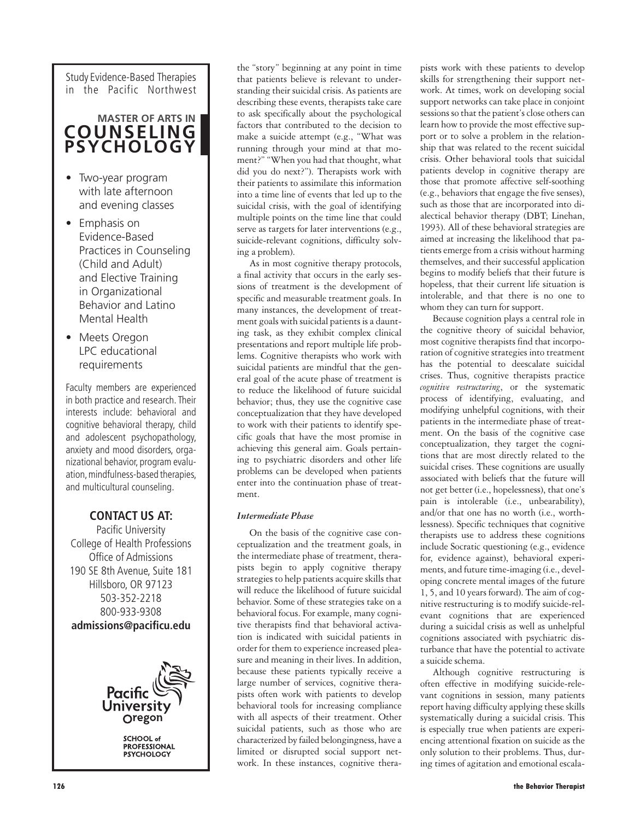Study Evidence-Based Therapies in the Pacific Northwest

## **MASTER OF ARTS IN COUNSELING PSYCHOLOGY**

- Two-year program with late afternoon and evening classes
- Emphasis on Evidence-Based Practices in Counseling (Child and Adult) and Elective Training in Organizational Behavior and Latino Mental Health
- Meets Oregon LPC educational requirements

Faculty members are experienced in both practice and research. Their interests include: behavioral and cognitive behavioral therapy, child and adolescent psychopathology, anxiety and mood disorders, organizational behavior, program evaluation, mindfulness-based therapies, and multicultural counseling.

## **CONTACT US AT:**

Pacific University College of Health Professions Office of Admissions 190 SE 8th Avenue, Suite 181 Hillsboro, OR 97123 503-352-2218 800-933-9308 **admissions@pacificu.edu**



the "story" beginning at any point in time that patients believe is relevant to understanding their suicidal crisis. As patients are describing these events, therapists take care to ask specifically about the psychological factors that contributed to the decision to make a suicide attempt (e.g., "What was running through your mind at that moment?" "When you had that thought, what did you do next?"). Therapists work with their patients to assimilate this information into a time line of events that led up to the suicidal crisis, with the goal of identifying multiple points on the time line that could serve as targets for later interventions (e.g., suicide-relevant cognitions, difficulty solving a problem).

As in most cognitive therapy protocols, a final activity that occurs in the early sessions of treatment is the development of specific and measurable treatment goals. In many instances, the development of treatment goals with suicidal patients is a daunting task, as they exhibit complex clinical presentations and report multiple life problems. Cognitive therapists who work with suicidal patients are mindful that the general goal of the acute phase of treatment is to reduce the likelihood of future suicidal behavior; thus, they use the cognitive case conceptualization that they have developed to work with their patients to identify specific goals that have the most promise in achieving this general aim. Goals pertaining to psychiatric disorders and other life problems can be developed when patients enter into the continuation phase of treatment.

#### *Intermediate Phase*

On the basis of the cognitive case conceptualization and the treatment goals, in the intermediate phase of treatment, therapists begin to apply cognitive therapy strategies to help patients acquire skills that will reduce the likelihood of future suicidal behavior. Some of these strategies take on a behavioral focus. For example, many cognitive therapists find that behavioral activation is indicated with suicidal patients in order for them to experience increased pleasure and meaning in their lives. In addition, because these patients typically receive a large number of services, cognitive therapists often work with patients to develop behavioral tools for increasing compliance with all aspects of their treatment. Other suicidal patients, such as those who are characterized by failed belongingness, have a limited or disrupted social support network. In these instances, cognitive therapists work with these patients to develop skills for strengthening their support network. At times, work on developing social support networks can take place in conjoint sessions so that the patient's close others can learn how to provide the most effective support or to solve a problem in the relationship that was related to the recent suicidal crisis. Other behavioral tools that suicidal patients develop in cognitive therapy are those that promote affective self-soothing (e.g., behaviors that engage the five senses), such as those that are incorporated into dialectical behavior therapy (DBT; Linehan, 1993). All of these behavioral strategies are aimed at increasing the likelihood that patients emerge from a crisis without harming themselves, and their successful application begins to modify beliefs that their future is hopeless, that their current life situation is intolerable, and that there is no one to whom they can turn for support.

Because cognition plays a central role in the cognitive theory of suicidal behavior, most cognitive therapists find that incorporation of cognitive strategies into treatment has the potential to deescalate suicidal crises. Thus, cognitive therapists practice *cognitive restructuring*, or the systematic process of identifying, evaluating, and modifying unhelpful cognitions, with their patients in the intermediate phase of treatment. On the basis of the cognitive case conceptualization, they target the cognitions that are most directly related to the suicidal crises. These cognitions are usually associated with beliefs that the future will not get better (i.e., hopelessness), that one's pain is intolerable (i.e., unbearability), and/or that one has no worth (i.e., worthlessness). Specific techniques that cognitive therapists use to address these cognitions include Socratic questioning (e.g., evidence for, evidence against), behavioral experiments, and future time-imaging (i.e., developing concrete mental images of the future 1, 5, and 10 years forward). The aim of cognitive restructuring is to modify suicide-relevant cognitions that are experienced during a suicidal crisis as well as unhelpful cognitions associated with psychiatric disturbance that have the potential to activate a suicide schema.

Although cognitive restructuring is often effective in modifying suicide-relevant cognitions in session, many patients report having difficulty applying these skills systematically during a suicidal crisis. This is especially true when patients are experiencing attentional fixation on suicide as the only solution to their problems. Thus, during times of agitation and emotional escala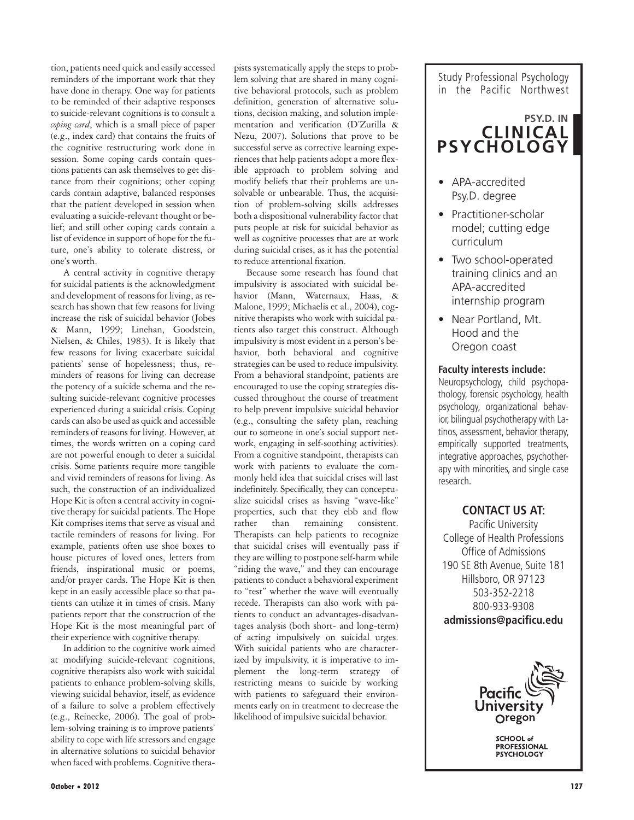tion, patients need quick and easily accessed reminders of the important work that they have done in therapy. One way for patients to be reminded of their adaptive responses to suicide-relevant cognitions is to consult a *coping card*, which is a small piece of paper (e.g., index card) that contains the fruits of the cognitive restructuring work done in session. Some coping cards contain questions patients can ask themselves to get distance from their cognitions; other coping cards contain adaptive, balanced responses that the patient developed in session when evaluating a suicide-relevant thought or belief; and still other coping cards contain a list of evidence in support of hope for the future, one's ability to tolerate distress, or one's worth.

A central activity in cognitive therapy for suicidal patients is the acknowledgment and development of reasons for living, as research has shown that few reasons for living increase the risk of suicidal behavior (Jobes & Mann, 1999; Linehan, Goodstein, Nielsen, & Chiles, 1983). It is likely that few reasons for living exacerbate suicidal patients' sense of hopelessness; thus, reminders of reasons for living can decrease the potency of a suicide schema and the resulting suicide-relevant cognitive processes experienced during a suicidal crisis. Coping cards can also be used as quick and accessible reminders of reasons for living. However, at times, the words written on a coping card are not powerful enough to deter a suicidal crisis. Some patients require more tangible and vivid reminders of reasons for living. As such, the construction of an individualized Hope Kit is often a central activity in cognitive therapy for suicidal patients. The Hope Kit comprises items that serve as visual and tactile reminders of reasons for living. For example, patients often use shoe boxes to house pictures of loved ones, letters from friends, inspirational music or poems, and/or prayer cards. The Hope Kit is then kept in an easily accessible place so that patients can utilize it in times of crisis. Many patients report that the construction of the Hope Kit is the most meaningful part of their experience with cognitive therapy.

In addition to the cognitive work aimed at modifying suicide-relevant cognitions, cognitive therapists also work with suicidal patients to enhance problem-solving skills, viewing suicidal behavior, itself, as evidence of a failure to solve a problem effectively (e.g., Reinecke, 2006). The goal of problem-solving training is to improve patients' ability to cope with life stressors and engage in alternative solutions to suicidal behavior when faced with problems. Cognitive therapists systematically apply the steps to problem solving that are shared in many cognitive behavioral protocols, such as problem definition, generation of alternative solutions, decision making, and solution implementation and verification (D'Zurilla & Nezu, 2007). Solutions that prove to be successful serve as corrective learning experiences that help patients adopt a more flexible approach to problem solving and modify beliefs that their problems are unsolvable or unbearable. Thus, the acquisition of problem-solving skills addresses both a dispositional vulnerability factor that puts people at risk for suicidal behavior as well as cognitive processes that are at work during suicidal crises, as it has the potential to reduce attentional fixation.

Because some research has found that impulsivity is associated with suicidal behavior (Mann, Waternaux, Haas, & Malone, 1999; Michaelis et al., 2004), cognitive therapists who work with suicidal patients also target this construct. Although impulsivity is most evident in a person's behavior, both behavioral and cognitive strategies can be used to reduce impulsivity. From a behavioral standpoint, patients are encouraged to use the coping strategies discussed throughout the course of treatment to help prevent impulsive suicidal behavior (e.g., consulting the safety plan, reaching out to someone in one's social support network, engaging in self-soothing activities). From a cognitive standpoint, therapists can work with patients to evaluate the commonly held idea that suicidal crises will last indefinitely. Specifically, they can conceptualize suicidal crises as having "wave-like" properties, such that they ebb and flow rather than remaining consistent. Therapists can help patients to recognize that suicidal crises will eventually pass if they are willing to postpone self-harm while "riding the wave," and they can encourage patients to conduct a behavioral experiment to "test" whether the wave will eventually recede. Therapists can also work with patients to conduct an advantages-disadvantages analysis (both short- and long-term) of acting impulsively on suicidal urges. With suicidal patients who are characterized by impulsivity, it is imperative to implement the long-term strategy of restricting means to suicide by working with patients to safeguard their environments early on in treatment to decrease the likelihood of impulsive suicidal behavior.

#### Study Professional Psychology in the Pacific Northwest

## **PSY.D. IN CLINICAL PSYCHOLOGY**

- APA-accredited Psy.D. degree
- Practitioner-scholar model; cutting edge curriculum
- Two school-operated training clinics and an APA-accredited internship program
- Near Portland, Mt. Hood and the Oregon coast

#### **Faculty interests include:**

Neuropsychology, child psychopathology, forensic psychology, health psychology, organizational behavior, bilingual psychotherapy with Latinos, assessment, behavior therapy, empirically supported treatments, integrative approaches, psychotherapy with minorities, and single case research.

## **CONTACT US AT:**

Pacific University College of Health Professions Office of Admissions 190 SE 8th Avenue, Suite 181 Hillsboro, OR 97123 503-352-2218 800-933-9308 **admissions@pacificu.edu**



**SCHOOL** of **PROFESSIONAL PSYCHOLOGY**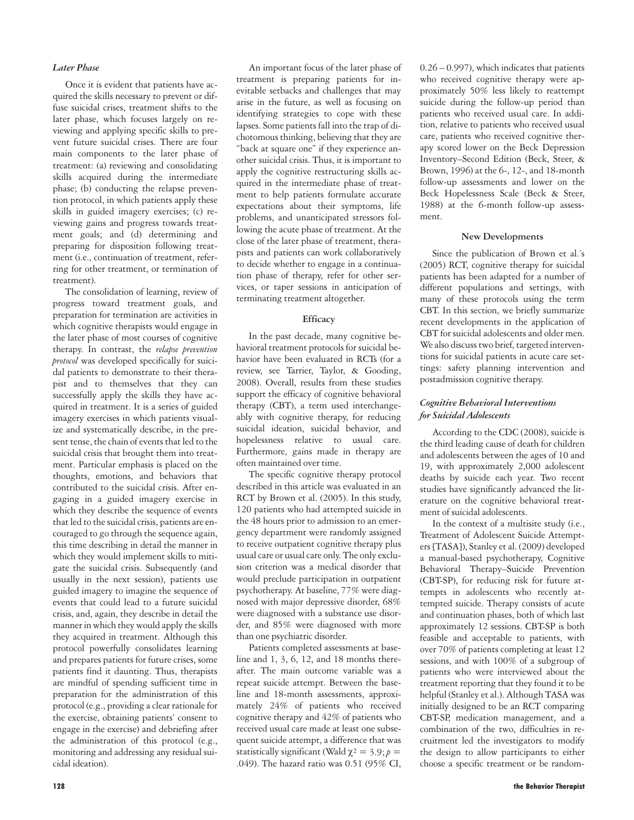#### *Later Phase*

Once it is evident that patients have acquired the skills necessary to prevent or diffuse suicidal crises, treatment shifts to the later phase, which focuses largely on reviewing and applying specific skills to prevent future suicidal crises. There are four main components to the later phase of treatment: (a) reviewing and consolidating skills acquired during the intermediate phase; (b) conducting the relapse prevention protocol, in which patients apply these skills in guided imagery exercises; (c) reviewing gains and progress towards treatment goals; and (d) determining and preparing for disposition following treatment (i.e., continuation of treatment, referring for other treatment, or termination of treatment).

The consolidation of learning, review of progress toward treatment goals, and preparation for termination are activities in which cognitive therapists would engage in the later phase of most courses of cognitive therapy. In contrast, the *relapse prevention protocol* was developed specifically for suicidal patients to demonstrate to their therapist and to themselves that they can successfully apply the skills they have acquired in treatment. It is a series of guided imagery exercises in which patients visualize and systematically describe, in the present tense, the chain of events that led to the suicidal crisis that brought them into treatment. Particular emphasis is placed on the thoughts, emotions, and behaviors that contributed to the suicidal crisis. After engaging in a guided imagery exercise in which they describe the sequence of events that led to the suicidal crisis, patients are encouraged to go through the sequence again, this time describing in detail the manner in which they would implement skills to mitigate the suicidal crisis. Subsequently (and usually in the next session), patients use guided imagery to imagine the sequence of events that could lead to a future suicidal crisis, and, again, they describe in detail the manner in which they would apply the skills they acquired in treatment. Although this protocol powerfully consolidates learning and prepares patients for future crises, some patients find it daunting. Thus, therapists are mindful of spending sufficient time in preparation for the administration of this protocol (e.g., providing a clear rationale for the exercise, obtaining patients' consent to engage in the exercise) and debriefing after the administration of this protocol (e.g., monitoring and addressing any residual suicidal ideation).

An important focus of the later phase of treatment is preparing patients for inevitable setbacks and challenges that may arise in the future, as well as focusing on identifying strategies to cope with these lapses. Some patients fall into the trap of dichotomous thinking, believing that they are "back at square one" if they experience another suicidal crisis. Thus, it is important to apply the cognitive restructuring skills acquired in the intermediate phase of treatment to help patients formulate accurate expectations about their symptoms, life problems, and unanticipated stressors following the acute phase of treatment. At the close of the later phase of treatment, therapists and patients can work collaboratively to decide whether to engage in a continuation phase of therapy, refer for other services, or taper sessions in anticipation of terminating treatment altogether.

#### **Efficacy**

In the past decade, many cognitive behavioral treatment protocols for suicidal behavior have been evaluated in RCTs (for a review, see Tarrier, Taylor, & Gooding, 2008). Overall, results from these studies support the efficacy of cognitive behavioral therapy (CBT), a term used interchangeably with cognitive therapy, for reducing suicidal ideation, suicidal behavior, and hopelessness relative to usual care. Furthermore, gains made in therapy are often maintained over time.

The specific cognitive therapy protocol described in this article was evaluated in an RCT by Brown et al. (2005). In this study, 120 patients who had attempted suicide in the 48 hours prior to admission to an emergency department were randomly assigned to receive outpatient cognitive therapy plus usual care or usual care only. The only exclusion criterion was a medical disorder that would preclude participation in outpatient psychotherapy. At baseline, 77% were diagnosed with major depressive disorder, 68% were diagnosed with a substance use disorder, and 85% were diagnosed with more than one psychiatric disorder.

Patients completed assessments at baseline and 1, 3, 6, 12, and 18 months thereafter. The main outcome variable was a repeat suicide attempt. Between the baseline and 18-month assessments, approximately 24% of patients who received cognitive therapy and 42% of patients who received usual care made at least one subsequent suicide attempt, a difference that was statistically significant (Wald  $\gamma^2 = 3.9$ ; *p* = .049). The hazard ratio was 0.51 (95% CI, 0.26 – 0.997), which indicates that patients who received cognitive therapy were approximately 50% less likely to reattempt suicide during the follow-up period than patients who received usual care. In addition, relative to patients who received usual care, patients who received cognitive therapy scored lower on the Beck Depression Inventory–Second Edition (Beck, Steer, & Brown, 1996) at the 6-, 12-, and 18-month follow-up assessments and lower on the Beck Hopelessness Scale (Beck & Steer, 1988) at the 6-month follow-up assessment.

#### **New Developments**

Since the publication of Brown et al.'s (2005) RCT, cognitive therapy for suicidal patients has been adapted for a number of different populations and settings, with many of these protocols using the term CBT. In this section, we briefly summarize recent developments in the application of CBT for suicidal adolescents and older men. We also discuss two brief, targeted interventions for suicidal patients in acute care settings: safety planning intervention and postadmission cognitive therapy.

#### *Cognitive Behavioral Interventions for Suicidal Adolescents*

According to the CDC (2008), suicide is the third leading cause of death for children and adolescents between the ages of 10 and 19, with approximately 2,000 adolescent deaths by suicide each year. Two recent studies have significantly advanced the literature on the cognitive behavioral treatment of suicidal adolescents.

In the context of a multisite study (i.e., Treatment of Adolescent Suicide Attempters [TASA]), Stanley et al. (2009) developed a manual-based psychotherapy, Cognitive Behavioral Therapy–Suicide Prevention (CBT-SP), for reducing risk for future attempts in adolescents who recently attempted suicide. Therapy consists of acute and continuation phases, both of which last approximately 12 sessions. CBT-SP is both feasible and acceptable to patients, with over 70% of patients completing at least 12 sessions, and with 100% of a subgroup of patients who were interviewed about the treatment reporting that they found it to be helpful (Stanley et al.). Although TASA was initially designed to be an RCT comparing CBT-SP, medication management, and a combination of the two, difficulties in recruitment led the investigators to modify the design to allow participants to either choose a specific treatment or be random-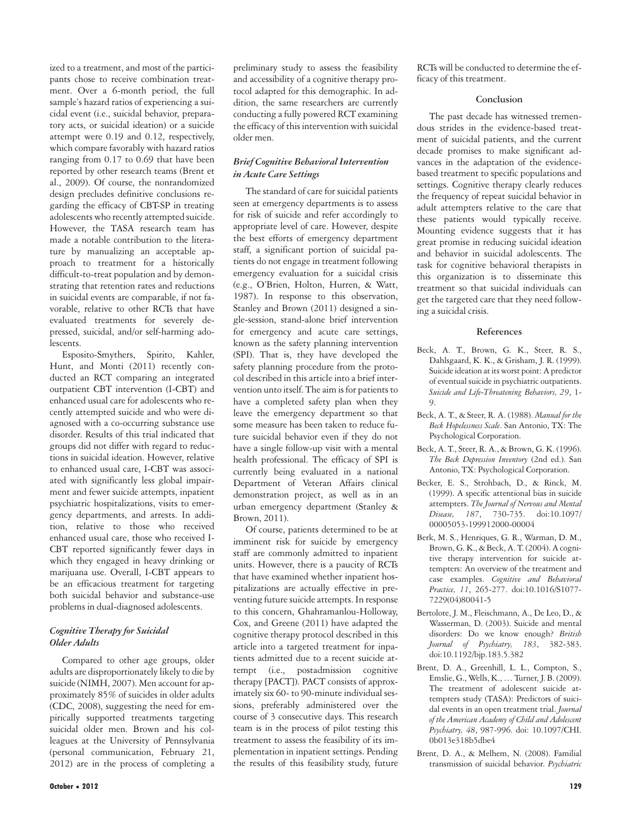ized to a treatment, and most of the participants chose to receive combination treatment. Over a 6-month period, the full sample's hazard ratios of experiencing a suicidal event (i.e., suicidal behavior, preparatory acts, or suicidal ideation) or a suicide attempt were 0.19 and 0.12, respectively, which compare favorably with hazard ratios ranging from 0.17 to 0.69 that have been reported by other research teams (Brent et al., 2009). Of course, the nonrandomized design precludes definitive conclusions regarding the efficacy of CBT-SP in treating adolescents who recently attempted suicide. However, the TASA research team has made a notable contribution to the literature by manualizing an acceptable approach to treatment for a historically difficult-to-treat population and by demonstrating that retention rates and reductions in suicidal events are comparable, if not favorable, relative to other RCTs that have evaluated treatments for severely depressed, suicidal, and/or self-harming adolescents.

Esposito-Smythers, Spirito, Kahler, Hunt, and Monti (2011) recently conducted an RCT comparing an integrated outpatient CBT intervention (I-CBT) and enhanced usual care for adolescents who recently attempted suicide and who were diagnosed with a co-occurring substance use disorder. Results of this trial indicated that groups did not differ with regard to reductions in suicidal ideation. However, relative to enhanced usual care, I-CBT was associated with significantly less global impairment and fewer suicide attempts, inpatient psychiatric hospitalizations, visits to emergency departments, and arrests. In addition, relative to those who received enhanced usual care, those who received I-CBT reported significantly fewer days in which they engaged in heavy drinking or marijuana use. Overall, I-CBT appears to be an efficacious treatment for targeting both suicidal behavior and substance-use problems in dual-diagnosed adolescents.

#### *Cognitive Therapy for Suicidal Older Adults*

Compared to other age groups, older adults are disproportionately likely to die by suicide (NIMH, 2007). Men account for approximately 85% of suicides in older adults (CDC, 2008), suggesting the need for empirically supported treatments targeting suicidal older men. Brown and his colleagues at the University of Pennsylvania (personal communication, February 21, 2012) are in the process of completing a

preliminary study to assess the feasibility and accessibility of a cognitive therapy protocol adapted for this demographic. In addition, the same researchers are currently conducting a fully powered RCT examining the efficacy of this intervention with suicidal older men.

#### *Brief Cognitive Behavioral Intervention in Acute Care Settings*

The standard of care for suicidal patients seen at emergency departments is to assess for risk of suicide and refer accordingly to appropriate level of care. However, despite the best efforts of emergency department staff, a significant portion of suicidal patients do not engage in treatment following emergency evaluation for a suicidal crisis (e.g., O'Brien, Holton, Hurren, & Watt, 1987). In response to this observation, Stanley and Brown (2011) designed a single-session, stand-alone brief intervention for emergency and acute care settings, known as the safety planning intervention (SPI). That is, they have developed the safety planning procedure from the protocol described in this article into a brief intervention unto itself. The aim is for patients to have a completed safety plan when they leave the emergency department so that some measure has been taken to reduce future suicidal behavior even if they do not have a single follow-up visit with a mental health professional. The efficacy of SPI is currently being evaluated in a national Department of Veteran Affairs clinical demonstration project, as well as in an urban emergency department (Stanley & Brown, 2011).

Of course, patients determined to be at imminent risk for suicide by emergency staff are commonly admitted to inpatient units. However, there is a paucity of RCTs that have examined whether inpatient hospitalizations are actually effective in preventing future suicide attempts. In response to this concern, Ghahramanlou-Holloway, Cox, and Greene (2011) have adapted the cognitive therapy protocol described in this article into a targeted treatment for inpatients admitted due to a recent suicide attempt (i.e., postadmission cognitive therapy [PACT]). PACT consists of approximately six 60- to 90-minute individual sessions, preferably administered over the course of 3 consecutive days. This research team is in the process of pilot testing this treatment to assess the feasibility of its implementation in inpatient settings. Pending the results of this feasibility study, future RCTs will be conducted to determine the efficacy of this treatment.

#### **Conclusion**

The past decade has witnessed tremendous strides in the evidence-based treatment of suicidal patients, and the current decade promises to make significant advances in the adaptation of the evidencebased treatment to specific populations and settings. Cognitive therapy clearly reduces the frequency of repeat suicidal behavior in adult attempters relative to the care that these patients would typically receive. Mounting evidence suggests that it has great promise in reducing suicidal ideation and behavior in suicidal adolescents. The task for cognitive behavioral therapists in this organization is to disseminate this treatment so that suicidal individuals can get the targeted care that they need following a suicidal crisis.

#### **References**

- Beck, A. T., Brown, G. K., Steer, R. S., Dahlsgaard, K. K., & Grisham, J. R. (1999). Suicide ideation at its worst point: A predictor of eventual suicide in psychiatric outpatients. *Suicide and Life-Threatening Behaviors, 29*, 1- 9.
- Beck, A. T., & Steer, R. A. (1988). *Manual for the Beck Hopelessness Scale*. San Antonio, TX: The Psychological Corporation.
- Beck, A. T., Steer, R. A., & Brown, G. K. (1996). *The Beck Depression Inventory* (2nd ed.). San Antonio, TX: Psychological Corporation.
- Becker, E. S., Strohbach, D., & Rinck, M. (1999). A specific attentional bias in suicide attempters. *The Journal of Nervous and Mental Disease, 187*, 730-735. doi:10.1097/ 00005053-199912000-00004
- Berk, M. S., Henriques, G. R., Warman, D. M., Brown, G. K., & Beck, A. T. (2004). A cognitive therapy intervention for suicide attempters: An overview of the treatment and case examples. *Cognitive and Behavioral Practice, 11*, 265-277. doi:10.1016/S1077- 7229(04)80041-5
- Bertolote, J. M., Fleischmann, A., De Leo, D., & Wasserman, D. (2003). Suicide and mental disorders: Do we know enough? *British Journal of Psychiatry, 183*, 382-383. doi:10.1192/bjp.183.5.382
- Brent, D. A., Greenhill, L. L., Compton, S., Emslie, G., Wells, K., … Turner, J. B. (2009). The treatment of adolescent suicide attempters study (TASA): Predictors of suicidal events in an open treatment trial. *Journal of the American Academy of Child and Adolescent Psychiatry, 48*, 987-996. doi: 10.1097/CHI. 0b013e318b5dbe4
- Brent, D. A., & Melhem, N. (2008). Familial transmission of suicidal behavior. *Psychiatric*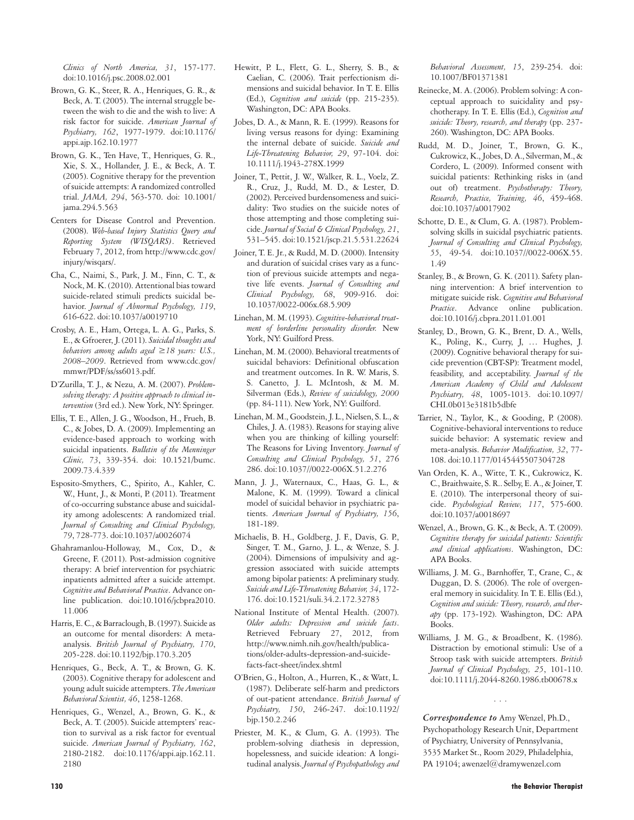*Clinics of North America, 31*, 157-177. doi:10.1016/j.psc.2008.02.001

- Brown, G. K., Steer, R. A., Henriques, G. R., & Beck, A. T. (2005). The internal struggle between the wish to die and the wish to live: A risk factor for suicide. *American Journal of Psychiatry, 162*, 1977-1979. doi:10.1176/ appi.ajp.162.10.1977
- Brown, G. K., Ten Have, T., Henriques, G. R., Xie, S. X., Hollander, J. E., & Beck, A. T. (2005). Cognitive therapy for the prevention of suicide attempts: A randomized controlled trial. *JAMA, 294*, 563-570. doi: 10.1001/ jama.294.5.563
- Centers for Disease Control and Prevention. (2008). *Web-based Injury Statistics Query and Reporting System (WISQARS)*. Retrieved February 7, 2012, from http://www.cdc.gov/ injury/wisqars/.
- Cha, C., Naimi, S., Park, J. M., Finn, C. T., & Nock, M. K. (2010). Attentional bias toward suicide-related stimuli predicts suicidal behavior. *Journal of Abnormal Psychology, 119*, 616-622. doi:10.1037/a0019710
- Crosby, A. E., Ham, Ortega, L. A. G., Parks, S. E., & Gfroerer, J. (2011). *Suicidal thoughts and behaviors among adults aged ≥18 years: U.S., 2008–2009*. Retrieved from www.cdc.gov/ mmwr/PDF/ss/ss6013.pdf.
- D'Zurilla, T. J., & Nezu, A. M. (2007). *Problemsolving therapy: A positive approach to clinical intervention* (3rd ed.). New York, NY: Springer.
- Ellis, T. E., Allen, J. G., Woodson, H., Frueh, B. C., & Jobes, D. A. (2009). Implementing an evidence-based approach to working with suicidal inpatients. *Bulletin of the Menninger Clinic, 73*, 339-354. doi: 10.1521/bumc. 2009.73.4.339
- Esposito-Smythers, C., Spirito, A., Kahler, C. W., Hunt, J., & Monti, P. (2011). Treatment of co-occurring substance abuse and suicidality among adolescents: A randomized trial. *Journal of Consulting and Clinical Psychology, 79*, 728-773. doi:10.1037/a0026074
- Ghahramanlou-Holloway, M., Cox, D., & Greene, F. (2011). Post-admission cognitive therapy: A brief intervention for psychiatric inpatients admitted after a suicide attempt. *Cognitive and Behavioral Practice*. Advance online publication. doi:10.1016/jcbpra2010. 11.006
- Harris, E. C., & Barraclough, B. (1997). Suicide as an outcome for mental disorders: A metaanalysis. *British Journal of Psychiatry, 170*, 205-228. doi:10.1192/bjp.170.3.205
- Henriques, G., Beck, A. T., & Brown, G. K. (2003). Cognitive therapy for adolescent and young adult suicide attempters. *The American Behavioral Scientist, 46*, 1258-1268.
- Henriques, G., Wenzel, A., Brown, G. K., & Beck, A. T. (2005). Suicide attempters' reaction to survival as a risk factor for eventual suicide. *American Journal of Psychiatry, 162*, 2180-2182. doi:10.1176/appi.ajp.162.11. 2180
- Hewitt, P. L., Flett, G. L., Sherry, S. B., & Caelian, C. (2006). Trait perfectionism dimensions and suicidal behavior. In T. E. Ellis (Ed.), *Cognition and suicide* (pp. 215-235). Washington, DC: APA Books.
- Jobes, D. A., & Mann, R. E. (1999). Reasons for living versus reasons for dying: Examining the internal debate of suicide. *Suicide and Life-Threatening Behavior, 29*, 97-104. doi: 10.1111/j.1943-278X.1999
- Joiner, T., Pettit, J. W., Walker, R. L., Voelz, Z. R., Cruz, J., Rudd, M. D., & Lester, D. (2002). Perceived burdensomeness and suicidality: Two studies on the suicide notes of those attempting and those completing suicide. *Journal of Social & Clinical Psychology, 21*, 531–545. doi:10.1521/jscp.21.5.531.22624
- Joiner, T. E. Jr., & Rudd, M. D. (2000). Intensity and duration of suicidal crises vary as a function of previous suicide attempts and negative life events. *Journal of Consulting and Clinical Psychology, 68*, 909-916. doi: 10.1037/0022-006x.68.5.909
- Linehan, M. M. (1993). *Cognitive-behavioral treatment of borderline personality disorder.* New York, NY: Guilford Press.
- Linehan, M. M. (2000). Behavioral treatments of suicidal behaviors: Definitional obfuscation and treatment outcomes. In R. W. Maris, S. S. Canetto, J. L. McIntosh, & M. M. Silverman (Eds.), *Review of suicidology, 2000* (pp. 84-111). New York, NY: Guilford.
- Linehan, M. M., Goodstein, J. L., Nielsen, S. L., & Chiles, J. A. (1983). Reasons for staying alive when you are thinking of killing yourself: The Reasons for Living Inventory. *Journal of Consulting and Clinical Psychology, 51*, 276 286. doi:10.1037//0022-006X.51.2.276
- Mann, J. J., Waternaux, C., Haas, G. L., & Malone, K. M. (1999). Toward a clinical model of suicidal behavior in psychiatric patients. *American Journal of Psychiatry, 156*, 181-189.
- Michaelis, B. H., Goldberg, J. F., Davis, G. P., Singer, T. M., Garno, J. L., & Wenze, S. J. (2004). Dimensions of impulsivity and aggression associated with suicide attempts among bipolar patients: A preliminary study. *Suicide and Life-Threatening Behavior, 34*, 172- 176. doi:10.1521/suli.34.2.172.32783
- National Institute of Mental Health. (2007). *Older adults: Depression and suicide facts*. Retrieved February 27, 2012, from http://www.nimh.nih.gov/health/publications/older-adults-depression-and-suicidefacts-fact-sheet/index.shtml
- O'Brien, G., Holton, A., Hurren, K., & Watt, L. (1987). Deliberate self-harm and predictors of out-patient attendance. *British Journal of Psychiatry, 150*, 246-247. doi:10.1192/ bjp.150.2.246
- Priester, M. K., & Clum, G. A. (1993). The problem-solving diathesis in depression, hopelessness, and suicide ideation: A longitudinal analysis. *Journal of Psychopathology and*

*Behavioral Assessment, 15*, 239-254. doi: 10.1007/BF01371381

- Reinecke, M. A. (2006). Problem solving: A conceptual approach to suicidality and psychotherapy. In T. E. Ellis (Ed.), *Cognition and suicide: Theory, research, and therapy* (pp. 237- 260). Washington, DC: APA Books.
- Rudd, M. D., Joiner, T., Brown, G. K., Cukrowicz, K., Jobes, D. A., Silverman, M., & Cordero, L. (2009). Informed consent with suicidal patients: Rethinking risks in (and out of) treatment. *Psychotherapy: Theory, Research, Practice, Training, 46*, 459-468. doi:10.1037/a0017902
- Schotte, D. E., & Clum, G. A. (1987). Problemsolving skills in suicidal psychiatric patients. *Journal of Consulting and Clinical Psychology, 55*, 49-54. doi:10.1037//0022-006X.55. 1.49
- Stanley, B., & Brown, G. K. (2011). Safety planning intervention: A brief intervention to mitigate suicide risk. *Cognitive and Behavioral Practice*. Advance online publication. doi:10.1016/j.cbpra.2011.01.001
- Stanley, D., Brown, G. K., Brent, D. A., Wells, K., Poling, K., Curry, J, … Hughes, J. (2009). Cognitive behavioral therapy for suicide prevention (CBT-SP): Treatment model, feasibility, and acceptability. *Journal of the American Academy of Child and Adolescent Psychiatry, 48*, 1005-1013. doi:10.1097/ CHI.0b013e3181b5dbfe
- Tarrier, N., Taylor, K., & Gooding, P. (2008). Cognitive-behavioral interventions to reduce suicide behavior: A systematic review and meta-analysis. *Behavior Modification, 32*, 77- 108. doi:10.1177/0145445507304728
- Van Orden, K. A., Witte, T. K., Cukrowicz, K. C., Braithwaite, S. R.. Selby, E. A., & Joiner, T. E. (2010). The interpersonal theory of suicide. *Psychological Review, 117*, 575-600. doi:10.1037/a0018697
- Wenzel, A., Brown, G. K., & Beck, A. T. (2009). *Cognitive therapy for suicidal patients: Scientific and clinical applications*. Washington, DC: APA Books.
- Williams, J. M. G., Barnhoffer, T., Crane, C., & Duggan, D. S. (2006). The role of overgeneral memory in suicidality. In T. E. Ellis (Ed.), *Cognition and suicide: Theory, research, and therapy* (pp. 173-192). Washington, DC: APA Books.
- Williams, J. M. G., & Broadbent, K. (1986). Distraction by emotional stimuli: Use of a Stroop task with suicide attempters. *British Journal of Clinical Psychology, 25*, 101-110. doi:10.1111/j.2044-8260.1986.tb00678.x

*Correspondence to* Amy Wenzel, Ph.D., Psychopathology Research Unit, Department of Psychiatry, University of Pennsylvania, 3535 Market St., Room 2029, Philadelphia, PA 19104; awenzel@dramywenzel.com

...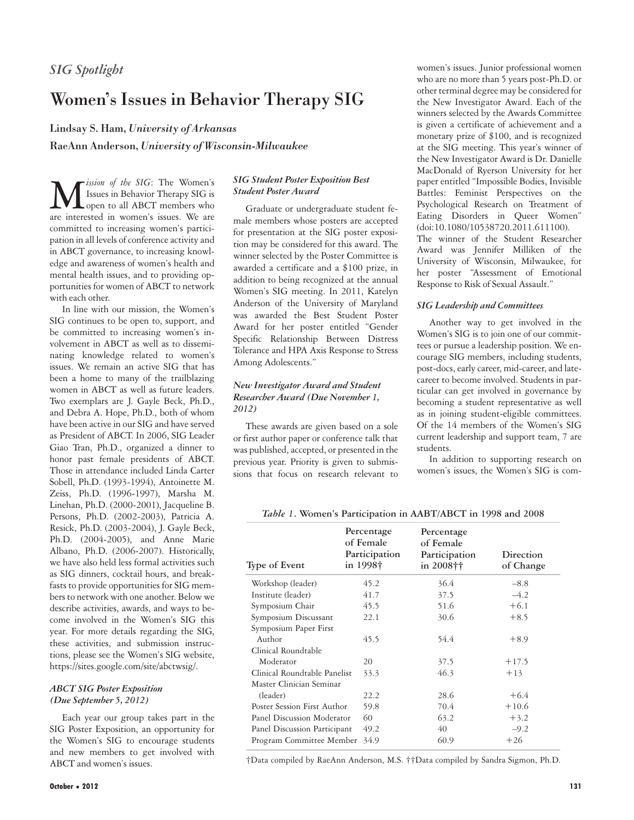## *SIG Spotlight*

## Women's Issues in Behavior Therapy SIG

Lindsay S. Ham, *University of Arkansas*

RaeAnn Anderson, *University of Wisconsin-Milwaukee*

**M** *ission of the SIG*: The Women's<br>
open to all ABCT members who<br>
are interested in women's issues. We are Issues in Behavior Therapy SIG is are interested in women's issues. We are committed to increasing women's participation in all levels of conference activity and in ABCT governance, to increasing knowledge and awareness of women's health and mental health issues, and to providing opportunities for women of ABCT to network with each other.

In line with our mission, the Women's SIG continues to be open to, support, and be committed to increasing women's involvement in ABCT as well as to disseminating knowledge related to women's issues. We remain an active SIG that has been a home to many of the trailblazing women in ABCT as well as future leaders. Two exemplars are J. Gayle Beck, Ph.D., and Debra A. Hope, Ph.D., both of whom have been active in our SIG and have served as President of ABCT. In 2006, SIG Leader Giao Tran, Ph.D., organized a dinner to honor past female presidents of ABCT. Those in attendance included Linda Carter Sobell, Ph.D. (1993-1994), Antoinette M. Zeiss, Ph.D. (1996-1997), Marsha M. Linehan, Ph.D. (2000-2001), Jacqueline B. Persons, Ph.D. (2002-2003), Patricia A. Resick, Ph.D. (2003-2004), J. Gayle Beck, Ph.D. (2004-2005), and Anne Marie Albano, Ph.D. (2006-2007). Historically, we have also held less formal activities such as SIG dinners, cocktail hours, and breakfasts to provide opportunities for SIG members to network with one another. Below we describe activities, awards, and ways to become involved in the Women's SIG this year. For more details regarding the SIG, these activities, and submission instructions, please see the Women's SIG website, https://sites.google.com/site/abctwsig/.

#### *ABCT SIG Poster Exposition (Due September 5, 2012)*

Each year our group takes part in the SIG Poster Exposition, an opportunity for the Women's SIG to encourage students and new members to get involved with ABCT and women's issues.

#### *SIG Student Poster Exposition Best Student Poster Award*

Graduate or undergraduate student female members whose posters are accepted for presentation at the SIG poster exposition may be considered for this award. The winner selected by the Poster Committee is awarded a certificate and a \$100 prize, in addition to being recognized at the annual Women's SIG meeting. In 2011, Katelyn Anderson of the University of Maryland was awarded the Best Student Poster Award for her poster entitled "Gender Specific Relationship Between Distress Tolerance and HPA Axis Response to Stress Among Adolescents."

#### *New Investigator Award and Student Researcher Award (Due November 1, 2012)*

These awards are given based on a sole or first author paper or conference talk that was published, accepted, or presented in the previous year. Priority is given to submissions that focus on research relevant to women's issues. Junior professional women who are no more than 5 years post-Ph.D. or other terminal degree may be considered for the New Investigator Award. Each of the winners selected by the Awards Committee is given a certificate of achievement and a monetary prize of \$100, and is recognized at the SIG meeting. This year's winner of the New Investigator Award is Dr. Danielle MacDonald of Ryerson University for her paper entitled "Impossible Bodies, Invisible Battles: Feminist Perspectives on the Psychological Research on Treatment of Eating Disorders in Queer Women" (doi:10.1080/10538720.2011.611100). The winner of the Student Researcher Award was Jennifer Milliken of the University of Wisconsin, Milwaukee, for her poster "Assessment of Emotional Response to Risk of Sexual Assault."

#### *SIG Leadership and Committees*

Another way to get involved in the Women's SIG is to join one of our committees or pursue a leadership position. We encourage SIG members, including students, post-docs, early career, mid-career, and latecareer to become involved. Students in particular can get involved in governance by becoming a student representative as well as in joining student-eligible committees. Of the 14 members of the Women's SIG current leadership and support team, 7 are students.

In addition to supporting research on women's issues, the Women's SIG is com-

| Type of Event                | Percentage<br>of Female<br>Participation<br>in 1998† | Percentage<br>of Female<br>Participation<br>in 2008†† | Direction<br>of Change |
|------------------------------|------------------------------------------------------|-------------------------------------------------------|------------------------|
| Workshop (leader)            | 45.2                                                 | 36.4                                                  | $-8.8$                 |
| Institute (leader)           | 41.7                                                 | 37.5                                                  | $-4.2$                 |
| Symposium Chair              | 45.5                                                 | 51.6                                                  | $+6.1$                 |
| Symposium Discussant         | 22.1                                                 | 30.6                                                  | $+8.5$                 |
| Symposium Paper First        |                                                      |                                                       |                        |
| Author                       | 45.5                                                 | 54.4                                                  | $+8.9$                 |
| Clinical Roundtable          |                                                      |                                                       |                        |
| Moderator                    | 20                                                   | 37.5                                                  | $+17.5$                |
| Clinical Roundtable Panelist | 33.3                                                 | 46.3                                                  | $+13$                  |
| Master Clinician Seminar     |                                                      |                                                       |                        |
| (leader)                     | 22.2                                                 | 28.6                                                  | $+6.4$                 |
| Poster Session First Author  | 59.8                                                 | 70.4                                                  | $+10.6$                |
| Panel Discussion Moderator   | 60                                                   | 63.2                                                  | $+3.2$                 |
| Panel Discussion Participant | 49.2                                                 | 40                                                    | $-9.2$                 |
| Program Committee Member     | 34.9                                                 | 60.9                                                  | $+26$                  |

*Table 1***. Women's Participation in AABT/ABCT in 1998 and 2008** 

†Data compiled by RaeAnn Anderson, M.S. ††Data compiled by Sandra Sigmon, Ph.D.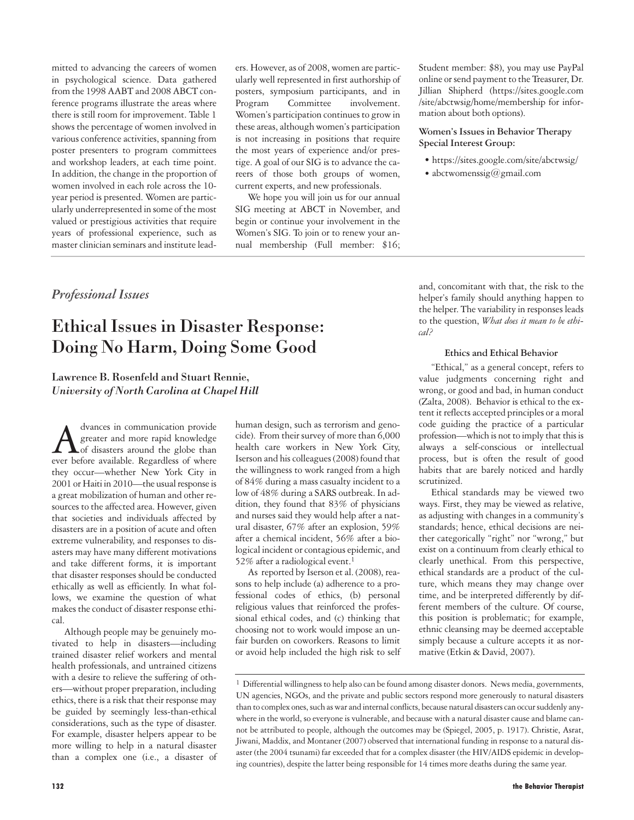mitted to advancing the careers of women in psychological science. Data gathered from the 1998 AABT and 2008 ABCT conference programs illustrate the areas where there is still room for improvement. Table 1 shows the percentage of women involved in various conference activities, spanning from poster presenters to program committees and workshop leaders, at each time point. In addition, the change in the proportion of women involved in each role across the 10 year period is presented. Women are particularly underrepresented in some of the most valued or prestigious activities that require years of professional experience, such as master clinician seminars and institute leaders. However, as of 2008, women are particularly well represented in first authorship of posters, symposium participants, and in Program Committee involvement. Women's participation continues to grow in these areas, although women's participation is not increasing in positions that require the most years of experience and/or prestige. A goal of our SIG is to advance the careers of those both groups of women, current experts, and new professionals.

We hope you will join us for our annual SIG meeting at ABCT in November, and begin or continue your involvement in the Women's SIG. To join or to renew your annual membership (Full member: \$16; Student member: \$8), you may use PayPal online or send payment to the Treasurer, Dr. Jillian Shipherd (https://sites.google.com /site/abctwsig/home/membership for information about both options).

#### **Women's Issues in Behavior Therapy Special Interest Group:**

- https://sites.google.com/site/abctwsig/
- abctwomenssig@gmail.com

## *Professional Issues*

# Ethical Issues in Disaster Response: Doing No Harm, Doing Some Good

Lawrence B. Rosenfeld and Stuart Rennie, *University of North Carolina at Chapel Hill*

dyances in communication provide<br>greater and more rapid knowledge<br>ever before available Regardless of where greater and more rapid knowledge of disasters around the globe than ever before available. Regardless of where they occur—whether New York City in 2001 or Haiti in 2010—the usual response is a great mobilization of human and other resources to the affected area. However, given that societies and individuals affected by disasters are in a position of acute and often extreme vulnerability, and responses to disasters may have many different motivations and take different forms, it is important that disaster responses should be conducted ethically as well as efficiently. In what follows, we examine the question of what makes the conduct of disaster response ethical.

Although people may be genuinely motivated to help in disasters—including trained disaster relief workers and mental health professionals, and untrained citizens with a desire to relieve the suffering of others—without proper preparation, including ethics, there is a risk that their response may be guided by seemingly less-than-ethical considerations, such as the type of disaster. For example, disaster helpers appear to be more willing to help in a natural disaster than a complex one (i.e., a disaster of human design, such as terrorism and genocide). From their survey of more than 6,000 health care workers in New York City, Iserson and his colleagues (2008) found that the willingness to work ranged from a high of 84% during a mass casualty incident to a low of 48% during a SARS outbreak. In addition, they found that 83% of physicians and nurses said they would help after a natural disaster, 67% after an explosion, 59% after a chemical incident, 56% after a biological incident or contagious epidemic, and 52% after a radiological event.1

As reported by Iserson et al. (2008), reasons to help include (a) adherence to a professional codes of ethics, (b) personal religious values that reinforced the professional ethical codes, and (c) thinking that choosing not to work would impose an unfair burden on coworkers. Reasons to limit or avoid help included the high risk to self and, concomitant with that, the risk to the helper's family should anything happen to the helper. The variability in responses leads to the question, *What does it mean to be ethical?*

#### **Ethics and Ethical Behavior**

"Ethical," as a general concept, refers to value judgments concerning right and wrong, or good and bad, in human conduct (Zalta, 2008). Behavior is ethical to the extent it reflects accepted principles or a moral code guiding the practice of a particular profession—which is not to imply that this is always a self-conscious or intellectual process, but is often the result of good habits that are barely noticed and hardly scrutinized.

Ethical standards may be viewed two ways. First, they may be viewed as relative, as adjusting with changes in a community's standards; hence, ethical decisions are neither categorically "right" nor "wrong," but exist on a continuum from clearly ethical to clearly unethical. From this perspective, ethical standards are a product of the culture, which means they may change over time, and be interpreted differently by different members of the culture. Of course, this position is problematic; for example, ethnic cleansing may be deemed acceptable simply because a culture accepts it as normative (Etkin & David, 2007).

 $1$  Differential willingness to help also can be found among disaster donors. News media, governments, UN agencies, NGOs, and the private and public sectors respond more generously to natural disasters than to complex ones, such as war and internal conflicts, because natural disasters can occur suddenly anywhere in the world, so everyone is vulnerable, and because with a natural disaster cause and blame cannot be attributed to people, although the outcomes may be (Spiegel, 2005, p. 1917). Christie, Asrat, Jiwani, Maddix, and Montaner (2007) observed that international funding in response to a natural disaster (the 2004 tsunami) far exceeded that for a complex disaster (the HIV/AIDS epidemic in developing countries), despite the latter being responsible for 14 times more deaths during the same year.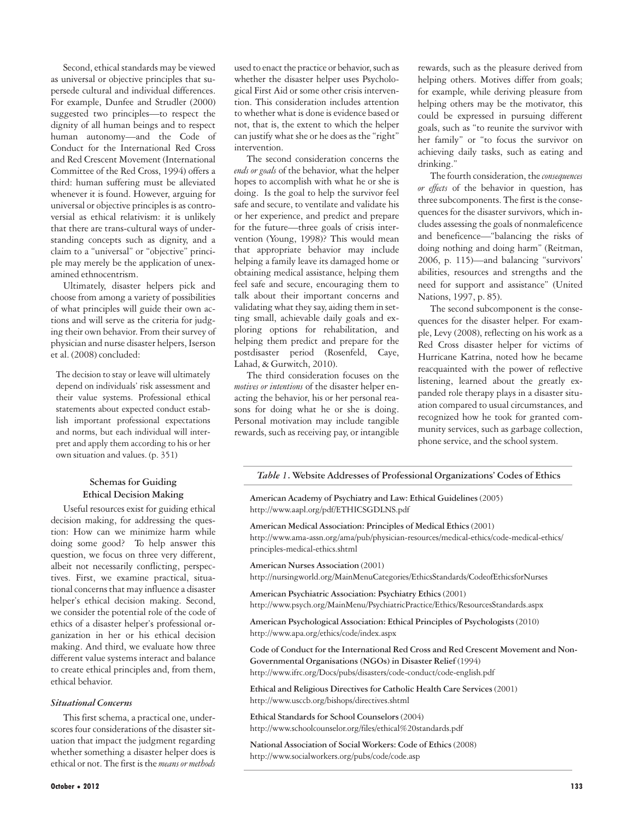Second, ethical standards may be viewed as universal or objective principles that supersede cultural and individual differences. For example, Dunfee and Strudler (2000) suggested two principles—to respect the dignity of all human beings and to respect human autonomy—and the Code of Conduct for the International Red Cross and Red Crescent Movement (International Committee of the Red Cross, 1994) offers a third: human suffering must be alleviated whenever it is found. However, arguing for universal or objective principles is as controversial as ethical relativism: it is unlikely that there are trans-cultural ways of understanding concepts such as dignity, and a claim to a "universal" or "objective" principle may merely be the application of unexamined ethnocentrism.

Ultimately, disaster helpers pick and choose from among a variety of possibilities of what principles will guide their own actions and will serve as the criteria for judging their own behavior. From their survey of physician and nurse disaster helpers, Iserson et al. (2008) concluded:

The decision to stay or leave will ultimately depend on individuals' risk assessment and their value systems. Professional ethical statements about expected conduct establish important professional expectations and norms, but each individual will interpret and apply them according to his or her own situation and values. (p. 351)

#### **Schemas for Guiding Ethical Decision Making**

Useful resources exist for guiding ethical decision making, for addressing the question: How can we minimize harm while doing some good? To help answer this question, we focus on three very different, albeit not necessarily conflicting, perspectives. First, we examine practical, situational concerns that may influence a disaster helper's ethical decision making. Second, we consider the potential role of the code of ethics of a disaster helper's professional organization in her or his ethical decision making. And third, we evaluate how three different value systems interact and balance to create ethical principles and, from them, ethical behavior.

#### *Situational Concerns*

This first schema, a practical one, underscores four considerations of the disaster situation that impact the judgment regarding whether something a disaster helper does is ethical or not. The first is the *means or methods*

used to enact the practice or behavior, such as whether the disaster helper uses Psychological First Aid or some other crisis intervention. This consideration includes attention to whether what is done is evidence based or not, that is, the extent to which the helper can justify what she or he does as the "right" intervention.

The second consideration concerns the *ends or goals* of the behavior, what the helper hopes to accomplish with what he or she is doing. Is the goal to help the survivor feel safe and secure, to ventilate and validate his or her experience, and predict and prepare for the future—three goals of crisis intervention (Young, 1998)? This would mean that appropriate behavior may include helping a family leave its damaged home or obtaining medical assistance, helping them feel safe and secure, encouraging them to talk about their important concerns and validating what they say, aiding them in setting small, achievable daily goals and exploring options for rehabilitation, and helping them predict and prepare for the postdisaster period (Rosenfeld, Caye, Lahad, & Gurwitch, 2010).

The third consideration focuses on the *motives or intentions* of the disaster helper enacting the behavior, his or her personal reasons for doing what he or she is doing. Personal motivation may include tangible rewards, such as receiving pay, or intangible

rewards, such as the pleasure derived from helping others. Motives differ from goals; for example, while deriving pleasure from helping others may be the motivator, this could be expressed in pursuing different goals, such as "to reunite the survivor with her family" or "to focus the survivor on achieving daily tasks, such as eating and drinking."

The fourth consideration, the *consequences or effects* of the behavior in question, has three subcomponents. The first is the consequences for the disaster survivors, which includes assessing the goals of nonmaleficence and beneficence—"balancing the risks of doing nothing and doing harm" (Reitman, 2006, p. 115)—and balancing "survivors' abilities, resources and strengths and the need for support and assistance" (United Nations, 1997, p. 85).

The second subcomponent is the consequences for the disaster helper. For example, Levy (2008), reflecting on his work as a Red Cross disaster helper for victims of Hurricane Katrina, noted how he became reacquainted with the power of reflective listening, learned about the greatly expanded role therapy plays in a disaster situation compared to usual circumstances, and recognized how he took for granted community services, such as garbage collection, phone service, and the school system.

#### *Table 1***. Website Addresses of Professional Organizations' Codes of Ethics**

**American Academy of Psychiatry and Law: Ethical Guidelines** (2005) http://www.aapl.org/pdf/ETHICSGDLNS.pdf

**American Medical Association: Principles of Medical Ethics** (2001) http://www.ama-assn.org/ama/pub/physician-resources/medical-ethics/code-medical-ethics/ principles-medical-ethics.shtml

**American Nurses Association** (2001) http://nursingworld.org/MainMenuCategories/EthicsStandards/CodeofEthicsforNurses

**American Psychiatric Association: Psychiatry Ethics** (2001) http://www.psych.org/MainMenu/PsychiatricPractice/Ethics/ResourcesStandards.aspx

**American Psychological Association: Ethical Principles of Psychologists** (2010) http://www.apa.org/ethics/code/index.aspx

**Code of Conduct for the International Red Cross and Red Crescent Movement and Non-Governmental Organisations (NGOs) in Disaster Relief** (1994) http://www.ifrc.org/Docs/pubs/disasters/code-conduct/code-english.pdf

**Ethical and Religious Directives for Catholic Health Care Services** (2001) http://www.usccb.org/bishops/directives.shtml

**Ethical Standards for School Counselors**(2004) http://www.schoolcounselor.org/files/ethical%20standards.pdf

**National Association of Social Workers: Code of Ethics** (2008) http://www.socialworkers.org/pubs/code/code.asp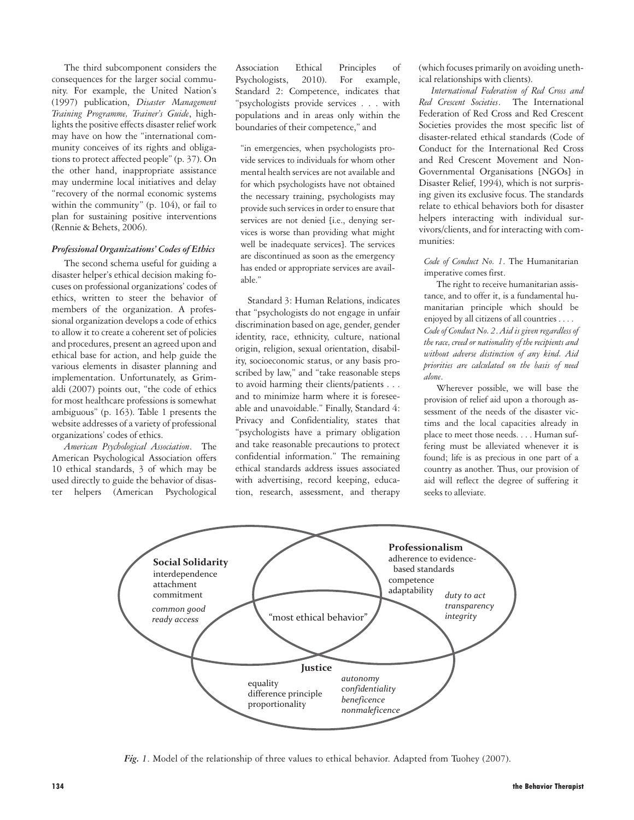The third subcomponent considers the consequences for the larger social community. For example, the United Nation's (1997) publication, *Disaster Management Training Programme, Trainer's Guide*, highlights the positive effects disaster relief work may have on how the "international community conceives of its rights and obligations to protect affected people" (p. 37). On the other hand, inappropriate assistance may undermine local initiatives and delay "recovery of the normal economic systems within the community" (p. 104), or fail to plan for sustaining positive interventions (Rennie & Behets, 2006).

#### *Professional Organizations' Codes of Ethics*

The second schema useful for guiding a disaster helper's ethical decision making focuses on professional organizations' codes of ethics, written to steer the behavior of members of the organization. A professional organization develops a code of ethics to allow it to create a coherent set of policies and procedures, present an agreed upon and ethical base for action, and help guide the various elements in disaster planning and implementation. Unfortunately, as Grimaldi (2007) points out, "the code of ethics for most healthcare professions is somewhat ambiguous" (p. 163). Table 1 presents the website addresses of a variety of professional organizations' codes of ethics.

*American Psychological Association*. The American Psychological Association offers 10 ethical standards, 3 of which may be used directly to guide the behavior of disaster helpers (American Psychological

Association Ethical Principles of Psychologists, 2010). For example, Standard 2: Competence, indicates that "psychologists provide services . . . with populations and in areas only within the boundaries of their competence," and

"in emergencies, when psychologists provide services to individuals for whom other mental health services are not available and for which psychologists have not obtained the necessary training, psychologists may provide such services in order to ensure that services are not denied [i.e., denying services is worse than providing what might well be inadequate services]. The services are discontinued as soon as the emergency has ended or appropriate services are available."

Standard 3: Human Relations, indicates that "psychologists do not engage in unfair discrimination based on age, gender, gender identity, race, ethnicity, culture, national origin, religion, sexual orientation, disability, socioeconomic status, or any basis proscribed by law," and "take reasonable steps to avoid harming their clients/patients . . . and to minimize harm where it is foreseeable and unavoidable." Finally, Standard 4: Privacy and Confidentiality, states that "psychologists have a primary obligation and take reasonable precautions to protect confidential information." The remaining ethical standards address issues associated with advertising, record keeping, education, research, assessment, and therapy (which focuses primarily on avoiding unethical relationships with clients).

*International Federation of Red Cross and Red Crescent Societies*. The International Federation of Red Cross and Red Crescent Societies provides the most specific list of disaster-related ethical standards (Code of Conduct for the International Red Cross and Red Crescent Movement and Non-Governmental Organisations [NGOs] in Disaster Relief, 1994), which is not surprising given its exclusive focus. The standards relate to ethical behaviors both for disaster helpers interacting with individual survivors/clients, and for interacting with communities:

*Code of Conduct No. 1*. The Humanitarian imperative comes first.

The right to receive humanitarian assistance, and to offer it, is a fundamental humanitarian principle which should be enjoyed by all citizens of all countries . . . . *Code of Conduct No. 2*. *Aid is given regardless of the race, creed or nationality of the recipients and without adverse distinction of any kind. Aid priorities are calculated on the basis of need alone*.

Wherever possible, we will base the provision of relief aid upon a thorough assessment of the needs of the disaster victims and the local capacities already in place to meet those needs. . . . Human suffering must be alleviated whenever it is found; life is as precious in one part of a country as another. Thus, our provision of aid will reflect the degree of suffering it seeks to alleviate.



*Fig. 1*. Model of the relationship of three values to ethical behavior. Adapted from Tuohey (2007).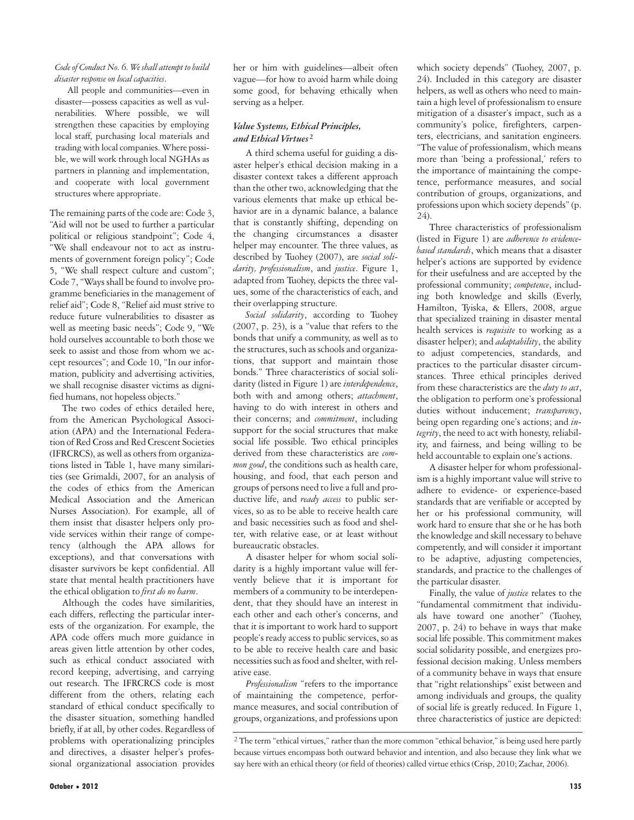#### *Code of Conduct No. 6. We shall attempt to build disaster response on local capacities*.

All people and communities—even in disaster—possess capacities as well as vulnerabilities. Where possible, we will strengthen these capacities by employing local staff, purchasing local materials and trading with local companies. Where possible, we will work through local NGHAs as partners in planning and implementation, and cooperate with local government structures where appropriate.

The remaining parts of the code are: Code 3, "Aid will not be used to further a particular political or religious standpoint"; Code 4, "We shall endeavour not to act as instruments of government foreign policy"; Code 5, "We shall respect culture and custom"; Code 7, "Ways shall be found to involve programme beneficiaries in the management of relief aid"; Code 8, "Relief aid must strive to reduce future vulnerabilities to disaster as well as meeting basic needs"; Code 9, "We hold ourselves accountable to both those we seek to assist and those from whom we accept resources"; and Code 10, "In our information, publicity and advertising activities, we shall recognise disaster victims as dignified humans, not hopeless objects."

The two codes of ethics detailed here, from the American Psychological Association (APA) and the International Federation of Red Cross and Red Crescent Societies (IFRCRCS), as well as others from organizations listed in Table 1, have many similarities (see Grimaldi, 2007, for an analysis of the codes of ethics from the American Medical Association and the American Nurses Association). For example, all of them insist that disaster helpers only provide services within their range of competency (although the APA allows for exceptions), and that conversations with disaster survivors be kept confidential. All state that mental health practitioners have the ethical obligation to *first do no harm*.

Although the codes have similarities, each differs, reflecting the particular interests of the organization. For example, the APA code offers much more guidance in areas given little attention by other codes, such as ethical conduct associated with record keeping, advertising, and carrying out research. The IFRCRCS code is most different from the others, relating each standard of ethical conduct specifically to the disaster situation, something handled briefly, if at all, by other codes. Regardless of problems with operationalizing principles and directives, a disaster helper's professional organizational association provides her or him with guidelines—albeit often vague—for how to avoid harm while doing some good, for behaving ethically when serving as a helper.

#### *Value Systems, Ethical Principles, and Ethical Virtues* **<sup>2</sup>**

A third schema useful for guiding a disaster helper's ethical decision making in a disaster context takes a different approach than the other two, acknowledging that the various elements that make up ethical behavior are in a dynamic balance, a balance that is constantly shifting, depending on the changing circumstances a disaster helper may encounter. The three values, as described by Tuohey (2007), are *social solidarity, professionalism*, and *justice*. Figure 1, adapted from Tuohey, depicts the three values, some of the characteristics of each, and their overlapping structure.

*Social solidarity*, according to Tuohey (2007, p. 23), is a "value that refers to the bonds that unify a community, as well as to the structures, such as schools and organizations, that support and maintain those bonds." Three characteristics of social solidarity (listed in Figure 1) are *interdependence*, both with and among others; *attachment*, having to do with interest in others and their concerns; and *commitment*, including support for the social structures that make social life possible. Two ethical principles derived from these characteristics are *common good*, the conditions such as health care, housing, and food, that each person and groups of persons need to live a full and productive life, and *ready access* to public services, so as to be able to receive health care and basic necessities such as food and shelter, with relative ease, or at least without bureaucratic obstacles.

A disaster helper for whom social solidarity is a highly important value will fervently believe that it is important for members of a community to be interdependent, that they should have an interest in each other and each other's concerns, and that it is important to work hard to support people's ready access to public services, so as to be able to receive health care and basic necessities such as food and shelter, with relative ease.

*Professionalism* "refers to the importance of maintaining the competence, performance measures, and social contribution of groups, organizations, and professions upon which society depends" (Tuohey, 2007, p. 24). Included in this category are disaster helpers, as well as others who need to maintain a high level of professionalism to ensure mitigation of a disaster's impact, such as a community's police, firefighters, carpenters, electricians, and sanitation engineers. "The value of professionalism, which means more than 'being a professional,' refers to the importance of maintaining the competence, performance measures, and social contribution of groups, organizations, and professions upon which society depends" (p.  $24$ 

Three characteristics of professionalism (listed in Figure 1) are *adherence to evidencebased standards*, which means that a disaster helper's actions are supported by evidence for their usefulness and are accepted by the professional community; *competence*, including both knowledge and skills (Everly, Hamilton, Tyiska, & Ellers, 2008, argue that specialized training in disaster mental health services is *requisite* to working as a disaster helper); and *adaptability*, the ability to adjust competencies, standards, and practices to the particular disaster circumstances. Three ethical principles derived from these characteristics are the *duty to act*, the obligation to perform one's professional duties without inducement; *transparency*, being open regarding one's actions; and *integrity*, the need to act with honesty, reliability, and fairness, and being willing to be held accountable to explain one's actions.

A disaster helper for whom professionalism is a highly important value will strive to adhere to evidence- or experience-based standards that are verifiable or accepted by her or his professional community, will work hard to ensure that she or he has both the knowledge and skill necessary to behave competently, and will consider it important to be adaptive, adjusting competencies, standards, and practice to the challenges of the particular disaster.

Finally, the value of *justice* relates to the "fundamental commitment that individuals have toward one another" (Tuohey, 2007, p. 24) to behave in ways that make social life possible. This commitment makes social solidarity possible, and energizes professional decision making. Unless members of a community behave in ways that ensure that "right relationships" exist between and among individuals and groups, the quality of social life is greatly reduced. In Figure 1, three characteristics of justice are depicted:

<sup>2</sup> The term "ethical virtues," rather than the more common "ethical behavior," is being used here partly because virtues encompass both outward behavior and intention, and also because they link what we say here with an ethical theory (or field of theories) called virtue ethics (Crisp, 2010; Zachar, 2006).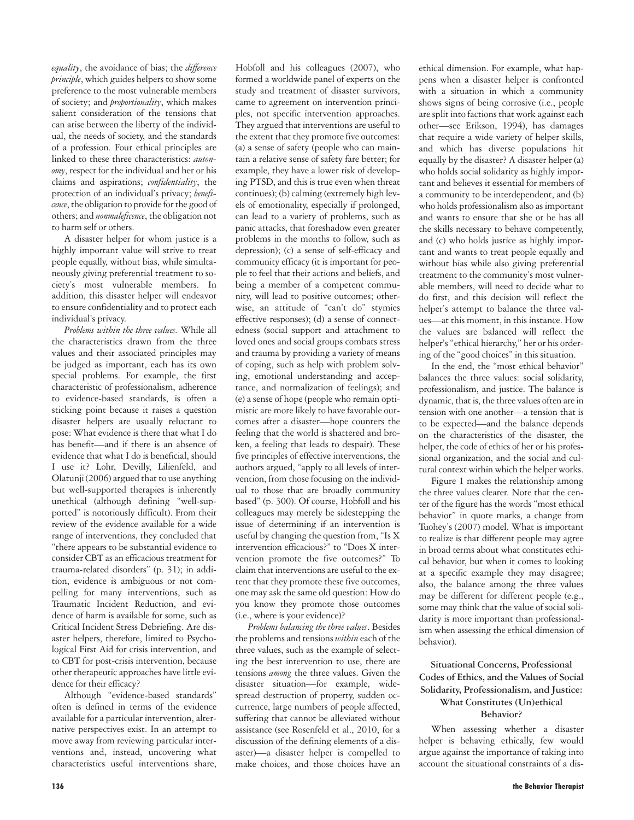*equality*, the avoidance of bias; the *difference principle*, which guides helpers to show some preference to the most vulnerable members of society; and *proportionality*, which makes salient consideration of the tensions that can arise between the liberty of the individual, the needs of society, and the standards of a profession. Four ethical principles are linked to these three characteristics: *autonomy*, respect for the individual and her or his claims and aspirations; *confidentiality*, the protection of an individual's privacy; *beneficence*, the obligation to provide for the good of others; and *nonmaleficence*, the obligation not to harm self or others.

A disaster helper for whom justice is a highly important value will strive to treat people equally, without bias, while simultaneously giving preferential treatment to society's most vulnerable members. In addition, this disaster helper will endeavor to ensure confidentiality and to protect each individual's privacy.

*Problems within the three values.* While all the characteristics drawn from the three values and their associated principles may be judged as important, each has its own special problems. For example, the first characteristic of professionalism, adherence to evidence-based standards, is often a sticking point because it raises a question disaster helpers are usually reluctant to pose: What evidence is there that what I do has benefit—and if there is an absence of evidence that what I do is beneficial, should I use it? Lohr, Devilly, Lilienfeld, and Olatunji (2006) argued that to use anything but well-supported therapies is inherently unethical (although defining "well-supported" is notoriously difficult). From their review of the evidence available for a wide range of interventions, they concluded that "there appears to be substantial evidence to consider CBT as an efficacious treatment for trauma-related disorders" (p. 31); in addition, evidence is ambiguous or not compelling for many interventions, such as Traumatic Incident Reduction, and evidence of harm is available for some, such as Critical Incident Stress Debriefing. Are disaster helpers, therefore, limited to Psychological First Aid for crisis intervention, and to CBT for post-crisis intervention, because other therapeutic approaches have little evidence for their efficacy?

Although "evidence-based standards" often is defined in terms of the evidence available for a particular intervention, alternative perspectives exist. In an attempt to move away from reviewing particular interventions and, instead, uncovering what characteristics useful interventions share, Hobfoll and his colleagues (2007), who formed a worldwide panel of experts on the study and treatment of disaster survivors, came to agreement on intervention principles, not specific intervention approaches. They argued that interventions are useful to the extent that they promote five outcomes: (a) a sense of safety (people who can maintain a relative sense of safety fare better; for example, they have a lower risk of developing PTSD, and this is true even when threat continues); (b) calming (extremely high levels of emotionality, especially if prolonged, can lead to a variety of problems, such as panic attacks, that foreshadow even greater problems in the months to follow, such as depression); (c) a sense of self-efficacy and community efficacy (it is important for people to feel that their actions and beliefs, and being a member of a competent community, will lead to positive outcomes; otherwise, an attitude of "can't do" stymies effective responses); (d) a sense of connectedness (social support and attachment to loved ones and social groups combats stress and trauma by providing a variety of means of coping, such as help with problem solving, emotional understanding and acceptance, and normalization of feelings); and (e) a sense of hope (people who remain optimistic are more likely to have favorable outcomes after a disaster—hope counters the feeling that the world is shattered and broken, a feeling that leads to despair). These five principles of effective interventions, the authors argued, "apply to all levels of intervention, from those focusing on the individual to those that are broadly community based" (p. 300). Of course, Hobfoll and his colleagues may merely be sidestepping the issue of determining if an intervention is useful by changing the question from, "Is X intervention efficacious?" to "Does X intervention promote the five outcomes?" To claim that interventions are useful to the extent that they promote these five outcomes, one may ask the same old question: How do you know they promote those outcomes (i.e., where is your evidence)?

*Problems balancing the three values*. Besides the problems and tensions *within* each of the three values, such as the example of selecting the best intervention to use, there are tensions *among* the three values. Given the disaster situation—for example, widespread destruction of property, sudden occurrence, large numbers of people affected, suffering that cannot be alleviated without assistance (see Rosenfeld et al., 2010, for a discussion of the defining elements of a disaster)—a disaster helper is compelled to make choices, and those choices have an ethical dimension. For example, what happens when a disaster helper is confronted with a situation in which a community shows signs of being corrosive (i.e., people are split into factions that work against each other—see Erikson, 1994), has damages that require a wide variety of helper skills, and which has diverse populations hit equally by the disaster? A disaster helper (a) who holds social solidarity as highly important and believes it essential for members of a community to be interdependent, and (b) who holds professionalism also as important and wants to ensure that she or he has all the skills necessary to behave competently, and (c) who holds justice as highly important and wants to treat people equally and without bias while also giving preferential treatment to the community's most vulnerable members, will need to decide what to do first, and this decision will reflect the helper's attempt to balance the three values—at this moment, in this instance. How the values are balanced will reflect the helper's "ethical hierarchy," her or his ordering of the "good choices" in this situation.

In the end, the "most ethical behavior" balances the three values: social solidarity, professionalism, and justice. The balance is dynamic, that is, the three values often are in tension with one another—a tension that is to be expected—and the balance depends on the characteristics of the disaster, the helper, the code of ethics of her or his professional organization, and the social and cultural context within which the helper works.

Figure 1 makes the relationship among the three values clearer. Note that the center of the figure has the words "most ethical behavior" in quote marks, a change from Tuohey's (2007) model. What is important to realize is that different people may agree in broad terms about what constitutes ethical behavior, but when it comes to looking at a specific example they may disagree; also, the balance among the three values may be different for different people (e.g., some may think that the value of social solidarity is more important than professionalism when assessing the ethical dimension of behavior).

#### **Situational Concerns, Professional Codes of Ethics, and the Values of Social Solidarity, Professionalism, and Justice: What Constitutes (Un)ethical Behavior?**

When assessing whether a disaster helper is behaving ethically, few would argue against the importance of taking into account the situational constraints of a dis-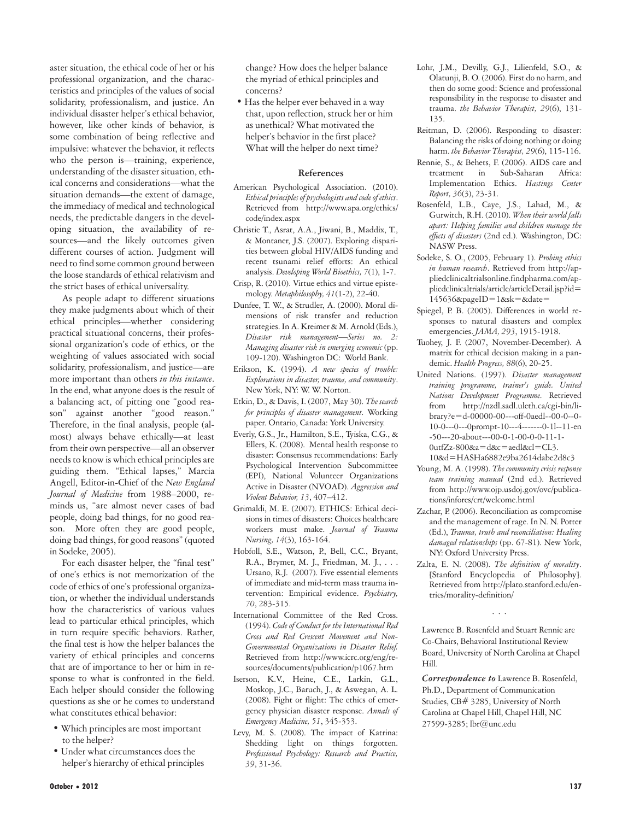aster situation, the ethical code of her or his professional organization, and the characteristics and principles of the values of social solidarity, professionalism, and justice. An individual disaster helper's ethical behavior, however, like other kinds of behavior, is some combination of being reflective and impulsive: whatever the behavior, it reflects who the person is—training, experience, understanding of the disaster situation, ethical concerns and considerations—what the situation demands—the extent of damage, the immediacy of medical and technological needs, the predictable dangers in the developing situation, the availability of resources—and the likely outcomes given different courses of action. Judgment will need to find some common ground between the loose standards of ethical relativism and the strict bases of ethical universality.

As people adapt to different situations they make judgments about which of their ethical principles—whether considering practical situational concerns, their professional organization's code of ethics, or the weighting of values associated with social solidarity, professionalism, and justice—are more important than others *in this instance*. In the end, what anyone does is the result of a balancing act, of pitting one "good reason" against another "good reason." Therefore, in the final analysis, people (almost) always behave ethically—at least from their own perspective—all an observer needs to know is which ethical principles are guiding them. "Ethical lapses," Marcia Angell, Editor-in-Chief of the *New England Journal of Medicine* from 1988–2000, reminds us, "are almost never cases of bad people, doing bad things, for no good reason. More often they are good people, doing bad things, for good reasons" (quoted in Sodeke, 2005).

For each disaster helper, the "final test" of one's ethics is not memorization of the code of ethics of one's professional organization, or whether the individual understands how the characteristics of various values lead to particular ethical principles, which in turn require specific behaviors. Rather, the final test is how the helper balances the variety of ethical principles and concerns that are of importance to her or him in response to what is confronted in the field. Each helper should consider the following questions as she or he comes to understand what constitutes ethical behavior:

- Which principles are most important to the helper?
- Under what circumstances does the helper's hierarchy of ethical principles

change? How does the helper balance the myriad of ethical principles and concerns?

• Has the helper ever behaved in a way that, upon reflection, struck her or him as unethical? What motivated the helper's behavior in the first place? What will the helper do next time?

#### **References**

- American Psychological Association. (2010). *Ethical principles of psychologists and code of ethics*. Retrieved from http://www.apa.org/ethics/ code/index.aspx
- Christie T., Asrat, A.A., Jiwani, B., Maddix, T., & Montaner, J.S. (2007). Exploring disparities between global HIV/AIDS funding and recent tsunami relief efforts: An ethical analysis. *Developing World Bioethics, 7*(1), 1-7.
- Crisp, R. (2010). Virtue ethics and virtue epistemology. *Metaphilosophy, 41*(1-2), 22-40.
- Dunfee, T. W., & Strudler, A. (2000). Moral dimensions of risk transfer and reduction strategies. In A. Kreimer & M. Arnold (Eds.), *Disaster risk management—Series no. 2: Managing disaster risk in emerging economic* (pp. 109-120). Washington DC: World Bank.
- Erikson, K. (1994). *A new species of trouble: Explorations in disaster, trauma, and community*. New York, NY: W. W. Norton.
- Etkin, D., & Davis, I. (2007, May 30). *The search for principles of disaster management.* Working paper. Ontario, Canada: York University.
- Everly, G.S., Jr., Hamilton, S.E., Tyiska, C.G., & Ellers, K. (2008). Mental health response to disaster: Consensus recommendations: Early Psychological Intervention Subcommittee (EPI), National Volunteer Organizations Active in Disaster (NVOAD). *Aggression and Violent Behavior, 13*, 407–412.
- Grimaldi, M. E. (2007). ETHICS: Ethical decisions in times of disasters: Choices healthcare workers must make. *Journal of Trauma Nursing, 14*(3), 163-164.
- Hobfoll, S.E., Watson, P., Bell, C.C., Bryant, R.A., Brymer, M. J., Friedman, M. J., . . . Ursano, R.J. (2007). Five essential elements of immediate and mid-term mass trauma intervention: Empirical evidence. *Psychiatry, 70*, 283-315.
- International Committee of the Red Cross. (1994). *Code of Conduct for the International Red Cross and Red Crescent Movement and Non-Governmental Organizations in Disaster Relief.* Retrieved from http://www.icrc.org/eng/resources/documents/publication/p1067.htm
- Iserson, K.V., Heine, C.E., Larkin, G.L., Moskop, J.C., Baruch, J., & Aswegan, A. L. (2008). Fight or flight: The ethics of emergency physician disaster response. *Annals of Emergency Medicine, 51*, 345-353.
- Levy, M. S. (2008). The impact of Katrina: Shedding light on things forgotten. *Professional Psychology: Research and Practice, 39*, 31-36.
- Lohr, J.M., Devilly, G.J., Lilienfeld, S.O., & Olatunji, B. O. (2006). First do no harm, and then do some good: Science and professional responsibility in the response to disaster and trauma. *the Behavior Therapist, 29*(6), 131- 135.
- Reitman, D. (2006). Responding to disaster: Balancing the risks of doing nothing or doing harm. *the Behavior Therapist, 29*(6), 115-116.
- Rennie, S., & Behets, F. (2006). AIDS care and treatment in Sub-Saharan Africa: Implementation Ethics. *Hastings Center Report, 36*(3), 23-31.
- Rosenfeld, L.B., Caye, J.S., Lahad, M., & Gurwitch, R.H. (2010). *When their world falls apart: Helping families and children manage the effects of disasters* (2nd ed.). Washington, DC: NASW Press.
- Sodeke, S. O., (2005, February 1). *Probing ethics in human research*. Retrieved from http://appliedclinicaltrialsonline.findpharma.com/appliedclinicaltrials/article/articleDetail.jsp?id= 145636&pageID=1&sk=&date=
- Spiegel, P. B. (2005). Differences in world responses to natural disasters and complex emergencies. *JAMA, 293*, 1915-1918.
- Tuohey, J. F. (2007, November-December). A matrix for ethical decision making in a pandemic. *Health Progress, 88*(6), 20-25.
- United Nations. (1997). *Disaster management training programme, trainer's guide. United Nations Development Programme.* Retrieved from http://nzdl.sadl.uleth.ca/cgi-bin/library?e=d-00000-00---off-0aedl--00-0--0- 10-0---0---0prompt-10---4-------0-1l--11-en -50---20-about---00-0-1-00-0-0-11-1-  $0$ utfZz-800 $\&a$ =d $\&c$ =aedl $\&c$ l=CL3. 10&d=HASHa6882e9ba2614dabe2d8c3
- Young, M. A. (1998). *The community crisis response team training manual* (2nd ed.). Retrieved from http://www.ojp.usdoj.gov/ovc/publications/infores/crt/welcome.html
- Zachar, P. (2006). Reconciliation as compromise and the management of rage. In N. N. Potter (Ed.), *Trauma, truth and reconciliation: Healing damaged relationships* (pp. 67-81). New York, NY: Oxford University Press.
- Zalta, E. N. (2008). *The definition of morality*. [Stanford Encyclopedia of Philosophy]. Retrieved from http://plato.stanford.edu/entries/morality-definition/

...

Lawrence B. Rosenfeld and Stuart Rennie are Co-Chairs, Behavioral Institutional Review Board, University of North Carolina at Chapel Hill.

*Correspondence to* Lawrence B. Rosenfeld, Ph.D., Department of Communication Studies, CB# 3285, University of North Carolina at Chapel Hill, Chapel Hill, NC 27599-3285; lbr@unc.edu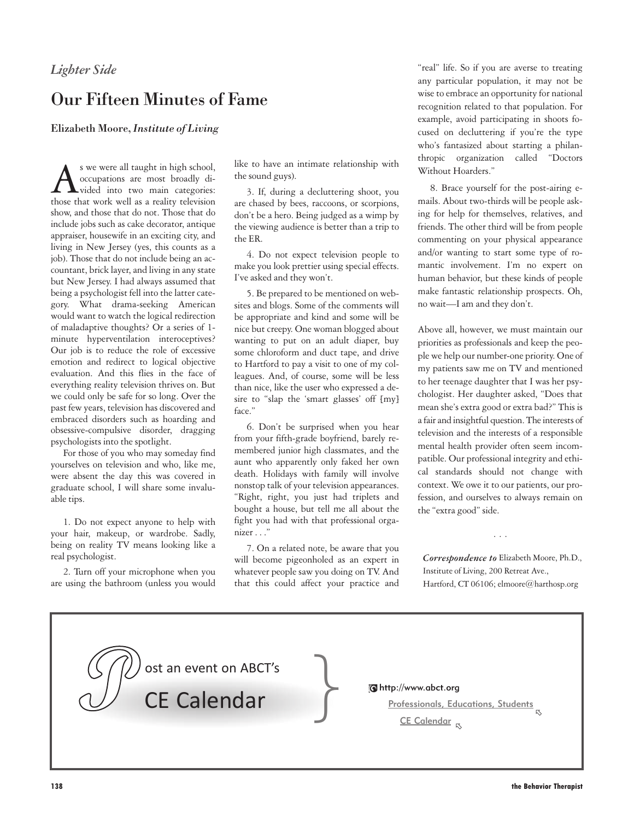## *Lighter Side*

## Our Fifteen Minutes of Fame

Elizabeth Moore, *Institute of Living*

As we were all taught in high school,<br>
occupations are most broadly di-<br>
vided into two main categories:<br>
those that work well as a reality television occupations are most broadly divided into two main categories: show, and those that do not. Those that do include jobs such as cake decorator, antique appraiser, housewife in an exciting city, and living in New Jersey (yes, this counts as a job). Those that do not include being an accountant, brick layer, and living in any state but New Jersey. I had always assumed that being a psychologist fell into the latter category. What drama-seeking American would want to watch the logical redirection of maladaptive thoughts? Or a series of 1 minute hyperventilation interoceptives? Our job is to reduce the role of excessive emotion and redirect to logical objective evaluation. And this flies in the face of everything reality television thrives on. But we could only be safe for so long. Over the past few years, television has discovered and embraced disorders such as hoarding and obsessive-compulsive disorder, dragging psychologists into the spotlight.

For those of you who may someday find yourselves on television and who, like me, were absent the day this was covered in graduate school, I will share some invaluable tips.

1. Do not expect anyone to help with your hair, makeup, or wardrobe. Sadly, being on reality TV means looking like a real psychologist.

2. Turn off your microphone when you are using the bathroom (unless you would

ost an event on ABCT's **P** }

like to have an intimate relationship with the sound guys).

3. If, during a decluttering shoot, you are chased by bees, raccoons, or scorpions, don't be a hero. Being judged as a wimp by the viewing audience is better than a trip to the ER.

4. Do not expect television people to make you look prettier using special effects. I've asked and they won't.

5. Be prepared to be mentioned on websites and blogs. Some of the comments will be appropriate and kind and some will be nice but creepy. One woman blogged about wanting to put on an adult diaper, buy some chloroform and duct tape, and drive to Hartford to pay a visit to one of my colleagues. And, of course, some will be less than nice, like the user who expressed a desire to "slap the 'smart glasses' off [my] face."

6. Don't be surprised when you hear from your fifth-grade boyfriend, barely remembered junior high classmates, and the aunt who apparently only faked her own death. Holidays with family will involve nonstop talk of your television appearances. "Right, right, you just had triplets and bought a house, but tell me all about the fight you had with that professional organizer . . ."

7. On a related note, be aware that you will become pigeonholed as an expert in whatever people saw you doing on TV. And that this could affect your practice and "real" life. So if you are averse to treating any particular population, it may not be wise to embrace an opportunity for national recognition related to that population. For example, avoid participating in shoots focused on decluttering if you're the type who's fantasized about starting a philanthropic organization called "Doctors Without Hoarders."

8. Brace yourself for the post-airing emails. About two-thirds will be people asking for help for themselves, relatives, and friends. The other third will be from people commenting on your physical appearance and/or wanting to start some type of romantic involvement. I'm no expert on human behavior, but these kinds of people make fantastic relationship prospects. Oh, no wait—I am and they don't.

Above all, however, we must maintain our priorities as professionals and keep the people we help our number-one priority. One of my patients saw me on TV and mentioned to her teenage daughter that I was her psychologist. Her daughter asked, "Does that mean she's extra good or extra bad?" This is a fair and insightful question. The interests of television and the interests of a responsible mental health provider often seem incompatible. Our professional integrity and ethical standards should not change with context. We owe it to our patients, our profession, and ourselves to always remain on the "extra good" side.

*Correspondence to* Elizabeth Moore, Ph.D., Institute of Living, 200 Retreat Ave., Hartford, CT 06106; elmoore@harthosp.org

...

CE Calendar **CE** Calendar

Professionals, Educations, Students<br>চ <mark>CE Calendar</mark>  $\, \mathbb{Q}$ 

138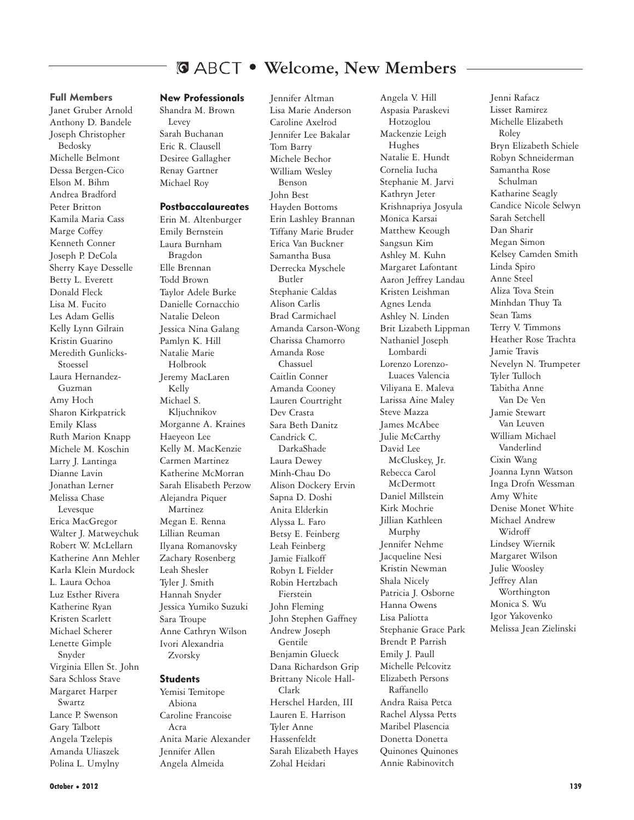## **Welcome, New Members**

#### Full Members

Janet Gruber Arnold Anthony D. Bandele Joseph Christopher Bedosky Michelle Belmont Dessa Bergen-Cico Elson M. Bihm Andrea Bradford Peter Britton Kamila Maria Cass Marge Coffey Kenneth Conner Joseph P. DeCola Sherry Kaye Desselle Betty L. Everett Donald Fleck Lisa M. Fucito Les Adam Gellis Kelly Lynn Gilrain Kristin Guarino Meredith Gunlicks-Stoessel Laura Hernandez-Guzman Amy Hoch Sharon Kirkpatrick Emily Klass Ruth Marion Knapp Michele M. Koschin Larry J. Lantinga Dianne Lavin Jonathan Lerner Melissa Chase Levesque Erica MacGregor Walter J. Matweychuk Robert W. McLellarn Katherine Ann Mehler Karla Klein Murdock L. Laura Ochoa Luz Esther Rivera Katherine Ryan Kristen Scarlett Michael Scherer Lenette Gimple Snyder Virginia Ellen St. John Sara Schloss Stave Margaret Harper Swartz Lance P. Swenson Gary Talbott Angela Tzelepis Amanda Uliaszek Polina L. Umylny

#### New Professionals

Shandra M. Brown Levey Sarah Buchanan Eric R. Clausell Desiree Gallagher Renay Gartner Michael Roy

#### **Postbaccalaureates**

Erin M. Altenburger Emily Bernstein Laura Burnham Bragdon Elle Brennan Todd Brown Taylor Adele Burke Danielle Cornacchio Natalie Deleon Jessica Nina Galang Pamlyn K. Hill Natalie Marie Holbrook Jeremy MacLaren Kelly Michael S. Kljuchnikov Morganne A. Kraines Haeyeon Lee Kelly M. MacKenzie Carmen Martinez Katherine McMorran Sarah Elisabeth Perzow Alejandra Piquer Martinez Megan E. Renna Lillian Reuman Ilyana Romanovsky Zachary Rosenberg Leah Shesler Tyler J. Smith Hannah Snyder Jessica Yumiko Suzuki Sara Troupe Anne Cathryn Wilson Ivori Alexandria Zvorsky

#### **Students**

Yemisi Temitope Abiona Caroline Francoise Acra Anita Marie Alexander Jennifer Allen Angela Almeida

Jennifer Altman Lisa Marie Anderson Caroline Axelrod Jennifer Lee Bakalar Tom Barry Michele Bechor William Wesley Benson John Best Hayden Bottoms Erin Lashley Brannan Tiffany Marie Bruder Erica Van Buckner Samantha Busa Derrecka Myschele Butler Stephanie Caldas Alison Carlis Brad Carmichael Amanda Carson-Wong Charissa Chamorro Amanda Rose Chassuel Caitlin Conner Amanda Cooney Lauren Courtright Dev Crasta Sara Beth Danitz Candrick C. DarkaShade Laura Dewey Minh-Chau Do Alison Dockery Ervin Sapna D. Doshi Anita Elderkin Alyssa L. Faro Betsy E. Feinberg Leah Feinberg Jamie Fialkoff Robyn L Fielder Robin Hertzbach Fierstein John Fleming John Stephen Gaffney Andrew Joseph Gentile Benjamin Glueck Dana Richardson Grip Brittany Nicole Hall-Clark Herschel Harden, III Lauren E. Harrison Tyler Anne Hassenfeldt Sarah Elizabeth Hayes Zohal Heidari

Angela V. Hill Aspasia Paraskevi Hotzoglou Mackenzie Leigh Hughes Natalie E. Hundt Cornelia Iucha Stephanie M. Jarvi Kathryn Jeter Krishnapriya Josyula Monica Karsai Matthew Keough Sangsun Kim Ashley M. Kuhn Margaret Lafontant Aaron Jeffrey Landau Kristen Leishman Agnes Lenda Ashley N. Linden Brit Lizabeth Lippman Nathaniel Joseph Lombardi Lorenzo Lorenzo-Luaces Valencia Viliyana E. Maleva Larissa Aine Maley Steve Mazza James McAbee Julie McCarthy David Lee McCluskey, Jr. Rebecca Carol McDermott Daniel Millstein Kirk Mochrie Jillian Kathleen Murphy Jennifer Nehme Jacqueline Nesi Kristin Newman Shala Nicely Patricia J. Osborne Hanna Owens Lisa Paliotta Stephanie Grace Park Brendt P. Parrish Emily J. Paull Michelle Pelcovitz Elizabeth Persons Raffanello Andra Raisa Petca Rachel Alyssa Petts Maribel Plasencia Donetta Donetta Quinones Quinones Annie Rabinovitch

Jenni Rafacz Lisset Ramirez Michelle Elizabeth Roley Bryn Elizabeth Schiele Robyn Schneiderman Samantha Rose Schulman Katharine Seagly Candice Nicole Selwyn Sarah Setchell Dan Sharir Megan Simon Kelsey Camden Smith Linda Spiro Anne Steel Aliza Tova Stein Minhdan Thuy Ta Sean Tams Terry V. Timmons Heather Rose Trachta Jamie Travis Nevelyn N. Trumpeter Tyler Tulloch Tabitha Anne Van De Ven Jamie Stewart Van Leuven William Michael Vanderlind Cixin Wang Joanna Lynn Watson Inga Drofn Wessman Amy White Denise Monet White Michael Andrew Widroff Lindsey Wiernik Margaret Wilson Julie Woosley Jeffrey Alan Worthington Monica S. Wu Igor Yakovenko Melissa Jean Zielinski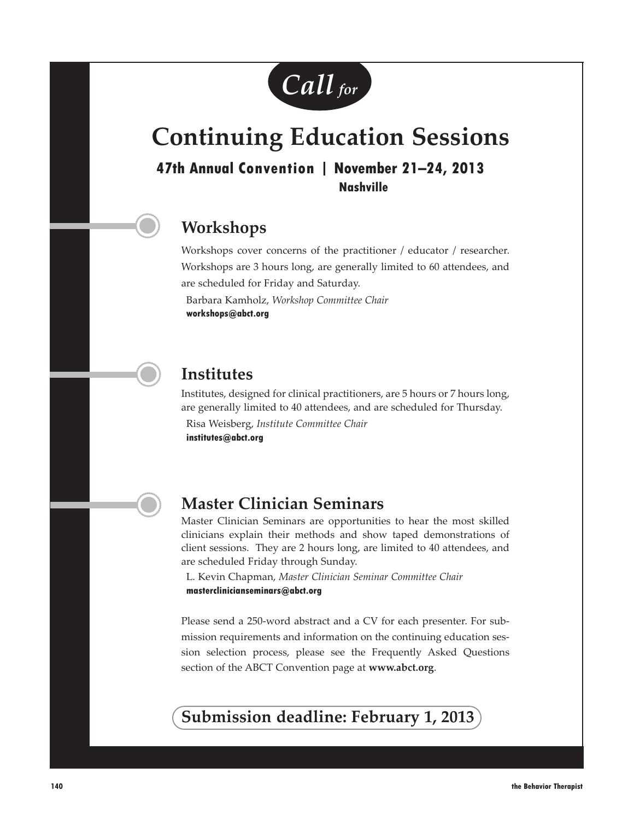

# **Continuing Education Sessions**

**47th Annual Convention Property Annual Convention (2013) Nashville**

## **Workshops**

Workshops cover concerns of the practitioner / educator / researcher. Workshops are 3 hours long, are generally limited to 60 attendees, and are scheduled for Friday and Saturday.

Barbara Kamholz, *Workshop Committee Chair* **workshops@abct.org**

## **Institutes**

Institutes, designed for clinical practitioners, are 5 hours or 7 hours long, are generally limited to 40 attendees, and are scheduled for Thursday. Risa Weisberg, *Institute Committee Chair*

**institutes@abct.org**

## **Master Clinician Seminars**

Master Clinician Seminars are opportunities to hear the most skilled clinicians explain their methods and show taped demonstrations of client sessions. They are 2 hours long, are limited to 40 attendees, and are scheduled Friday through Sunday.

L. Kevin Chapman, *Master Clinician Seminar Committee Chair* **masterclinicianseminars@abct.org**

Please send a 250-word abstract and a CV for each presenter. For submission requirements and information on the continuing education session selection process, please see the Frequently Asked Questions section of the ABCT Convention page at **www.abct.org**.

## **Submission deadline: February 1, 2013**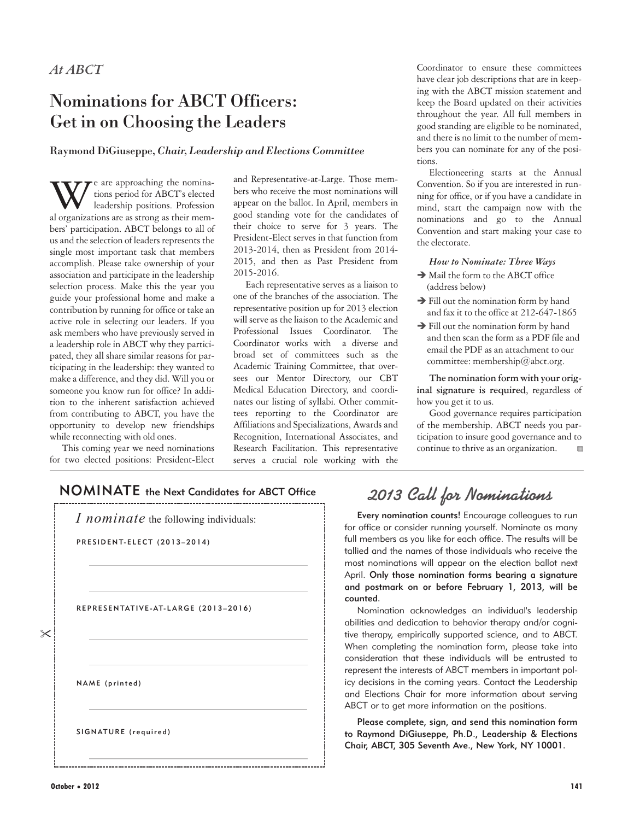# Nominations for ABCT Officers: Get in on Choosing the Leaders

#### Raymond DiGiuseppe, *Chair, Leadership and Elections Committee*

W e are approaching the nomina-<br>leadership positions. Profession<br>al organizations are as strong as their memtions period for ABCT's elected al organizations are as strong as their members' participation. ABCT belongs to all of us and the selection of leaders represents the single most important task that members accomplish. Please take ownership of your association and participate in the leadership selection process. Make this the year you guide your professional home and make a contribution by running for office or take an active role in selecting our leaders. If you ask members who have previously served in a leadership role in ABCT why they participated, they all share similar reasons for participating in the leadership: they wanted to make a difference, and they did. Will you or someone you know run for office? In addition to the inherent satisfaction achieved from contributing to ABCT, you have the opportunity to develop new friendships while reconnecting with old ones.

This coming year we need nominations for two elected positions: President-Elect

and Representative-at-Large. Those members who receive the most nominations will appear on the ballot. In April, members in good standing vote for the candidates of their choice to serve for 3 years. The President-Elect serves in that function from 2013-2014, then as President from 2014- 2015, and then as Past President from 2015-2016.

Each representative serves as a liaison to one of the branches of the association. The representative position up for 2013 election will serve as the liaison to the Academic and Professional Issues Coordinator. The Coordinator works with a diverse and broad set of committees such as the Academic Training Committee, that oversees our Mentor Directory, our CBT Medical Education Directory, and coordinates our listing of syllabi. Other committees reporting to the Coordinator are Affiliations and Specializations, Awards and Recognition, International Associates, and Research Facilitation. This representative serves a crucial role working with the

Coordinator to ensure these committees have clear job descriptions that are in keeping with the ABCT mission statement and keep the Board updated on their activities throughout the year. All full members in good standing are eligible to be nominated, and there is no limit to the number of members you can nominate for any of the positions.

Electioneering starts at the Annual Convention. So if you are interested in running for office, or if you have a candidate in mind, start the campaign now with the nominations and go to the Annual Convention and start making your case to the electorate.

#### *How to Nominate: Three Ways*

- $\rightarrow$  Mail the form to the ABCT office (address below)
- $\rightarrow$  Fill out the nomination form by hand and fax it to the office at 212-647-1865
- $\rightarrow$  Fill out the nomination form by hand and then scan the form as a PDF file and email the PDF as an attachment to our committee: membership@abct.org.

**The nomination form with your original signature is required**, regardless of how you get it to us.

Good governance requires participation of the membership. ABCT needs you participation to insure good governance and to continue to thrive as an organization.

## NOMINATE the Next Candidates for ABCT Office 2013 Call for Nominations



Every nomination counts! Encourage colleagues to run for office or consider running yourself. Nominate as many full members as you like for each office. The results will be tallied and the names of those individuals who receive the most nominations will appear on the election ballot next April. Only those nomination forms bearing a signature and postmark on or before February 1, 2013, will be counted.

Nomination acknowledges an individual's leadership abilities and dedication to behavior therapy and/or cognitive therapy, empirically supported science, and to ABCT. When completing the nomination form, please take into consideration that these individuals will be entrusted to represent the interests of ABCT members in important policy decisions in the coming years. Contact the Leadership and Elections Chair for more information about serving ABCT or to get more information on the positions.

Please complete, sign, and send this nomination form to Raymond DiGiuseppe, Ph.D., Leadership & Elections Chair, ABCT, 305 Seventh Ave., New York, NY 10001.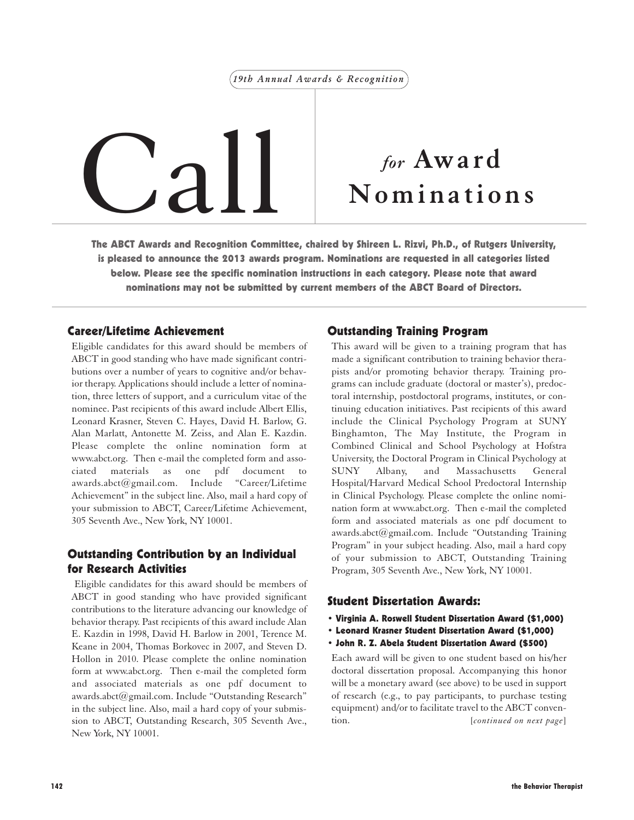#### *19th Annual Awards & Recognition*



# **Nominations**

The ABCT Awards and Recognition Committee, chaired by Shireen L. Rizvi, Ph.D., of Rutgers University, is pleased to announce the 2013 awards program. Nominations are requested in all categories listed below. Please see the specific nomination instructions in each category. Please note that award nominations may not be submitted by current members of the ABCT Board of Directors.

#### Career/Lifetime Achievement

Eligible candidates for this award should be members of ABCT in good standing who have made significant contributions over a number of years to cognitive and/or behavior therapy. Applications should include a letter of nomination, three letters of support, and a curriculum vitae of the nominee. Past recipients of this award include Albert Ellis, Leonard Krasner, Steven C. Hayes, David H. Barlow, G. Alan Marlatt, Antonette M. Zeiss, and Alan E. Kazdin. Please complete the online nomination form at www.abct.org. Then e-mail the completed form and associated materials as one pdf document awards.abct@gmail.com. Include "Career/Lifetime Achievement" in the subject line. Also, mail a hard copy of your submission to ABCT, Career/Lifetime Achievement, 305 Seventh Ave., New York, NY 10001.

#### Outstanding Contribution by an Individual for Research Activities

Eligible candidates for this award should be members of ABCT in good standing who have provided significant contributions to the literature advancing our knowledge of behavior therapy. Past recipients of this award include Alan E. Kazdin in 1998, David H. Barlow in 2001, Terence M. Keane in 2004, Thomas Borkovec in 2007, and Steven D. Hollon in 2010. Please complete the online nomination form at www.abct.org. Then e-mail the completed form and associated materials as one pdf document to awards.abct@gmail.com. Include "Outstanding Research" in the subject line. Also, mail a hard copy of your submission to ABCT, Outstanding Research, 305 Seventh Ave., New York, NY 10001.

#### Outstanding Training Program

This award will be given to a training program that has made a significant contribution to training behavior therapists and/or promoting behavior therapy. Training programs can include graduate (doctoral or master's), predoctoral internship, postdoctoral programs, institutes, or continuing education initiatives. Past recipients of this award include the Clinical Psychology Program at SUNY Binghamton, The May Institute, the Program in Combined Clinical and School Psychology at Hofstra University, the Doctoral Program in Clinical Psychology at SUNY Albany, and Massachusetts General Hospital/Harvard Medical School Predoctoral Internship in Clinical Psychology. Please complete the online nomination form at www.abct.org. Then e-mail the completed form and associated materials as one pdf document to awards.abct@gmail.com. Include "Outstanding Training Program" in your subject heading. Also, mail a hard copy of your submission to ABCT, Outstanding Training Program, 305 Seventh Ave., New York, NY 10001.

#### Student Dissertation Awards:

- Virginia A. Roswell Student Dissertation Award (\$1,000)
- Leonard Krasner Student Dissertation Award (\$1,000)
- John R. Z. Abela Student Dissertation Award (\$500)

Each award will be given to one student based on his/her doctoral dissertation proposal. Accompanying this honor will be a monetary award (see above) to be used in support of research (e.g., to pay participants, to purchase testing equipment) and/or to facilitate travel to the ABCT convention. [*continued on next page*]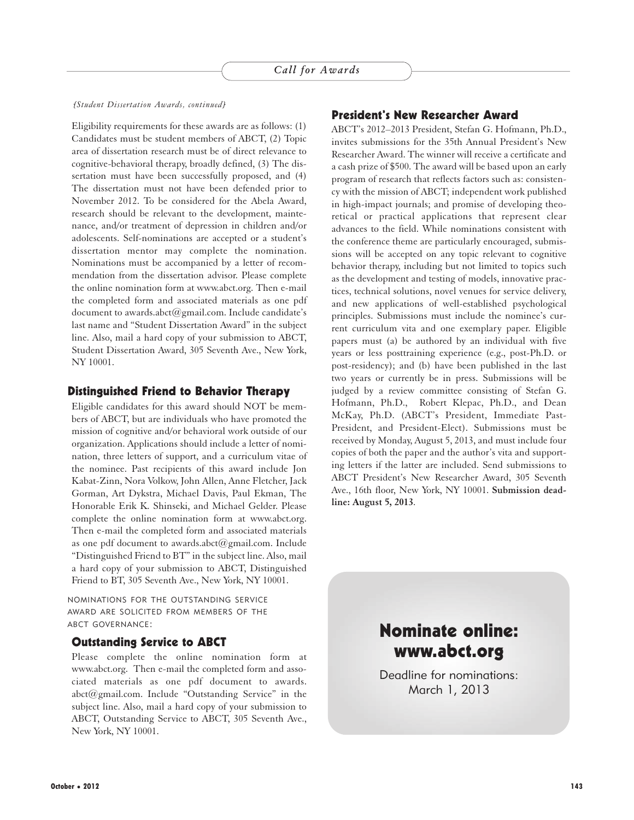#### *[Student Dissertation Awards, continued]*

Eligibility requirements for these awards are as follows: (1) Candidates must be student members of ABCT, (2) Topic area of dissertation research must be of direct relevance to cognitive-behavioral therapy, broadly defined, (3) The dissertation must have been successfully proposed, and (4) The dissertation must not have been defended prior to November 2012. To be considered for the Abela Award, research should be relevant to the development, maintenance, and/or treatment of depression in children and/or adolescents. Self-nominations are accepted or a student's dissertation mentor may complete the nomination. Nominations must be accompanied by a letter of recommendation from the dissertation advisor. Please complete the online nomination form at www.abct.org. Then e-mail the completed form and associated materials as one pdf document to awards.abct@gmail.com. Include candidate's last name and "Student Dissertation Award" in the subject line. Also, mail a hard copy of your submission to ABCT, Student Dissertation Award, 305 Seventh Ave., New York, NY 10001.

#### Distinguished Friend to Behavior Therapy

Eligible candidates for this award should NOT be members of ABCT, but are individuals who have promoted the mission of cognitive and/or behavioral work outside of our organization. Applications should include a letter of nomination, three letters of support, and a curriculum vitae of the nominee. Past recipients of this award include Jon Kabat-Zinn, Nora Volkow, John Allen, Anne Fletcher, Jack Gorman, Art Dykstra, Michael Davis, Paul Ekman, The Honorable Erik K. Shinseki, and Michael Gelder. Please complete the online nomination form at www.abct.org. Then e-mail the completed form and associated materials as one pdf document to awards.abct@gmail.com. Include "Distinguished Friend to BT" in the subject line. Also, mail a hard copy of your submission to ABCT, Distinguished Friend to BT, 305 Seventh Ave., New York, NY 10001.

NOMINATIONS FOR THE OUTSTANDING SERVICE AWARD ARE SOLICITED FROM MEMBERS OF THE ABCT GOVERNANCE:

#### Outstanding Service to ABCT

Please complete the online nomination form at www.abct.org. Then e-mail the completed form and associated materials as one pdf document to awards. abct@gmail.com. Include "Outstanding Service" in the subject line. Also, mail a hard copy of your submission to ABCT, Outstanding Service to ABCT, 305 Seventh Ave., New York, NY 10001.

#### President's New Researcher Award

ABCT's 2012–2013 President, Stefan G. Hofmann, Ph.D., invites submissions for the 35th Annual President's New Researcher Award. The winner will receive a certificate and a cash prize of \$500. The award will be based upon an early program of research that reflects factors such as: consistency with the mission of ABCT; independent work published in high-impact journals; and promise of developing theoretical or practical applications that represent clear advances to the field. While nominations consistent with the conference theme are particularly encouraged, submissions will be accepted on any topic relevant to cognitive behavior therapy, including but not limited to topics such as the development and testing of models, innovative practices, technical solutions, novel venues for service delivery, and new applications of well-established psychological principles. Submissions must include the nominee's current curriculum vita and one exemplary paper. Eligible papers must (a) be authored by an individual with five years or less posttraining experience (e.g., post-Ph.D. or post-residency); and (b) have been published in the last two years or currently be in press. Submissions will be judged by a review committee consisting of Stefan G. Hofmann, Ph.D., Robert Klepac, Ph.D., and Dean McKay, Ph.D. (ABCT's President, Immediate Past-President, and President-Elect). Submissions must be received by Monday, August 5, 2013, and must include four copies of both the paper and the author's vita and supporting letters if the latter are included. Send submissions to ABCT President's New Researcher Award, 305 Seventh Ave., 16th floor, New York, NY 10001. **Submission deadline: August 5, 2013**.



Deadline for nominations: March 1, 2013